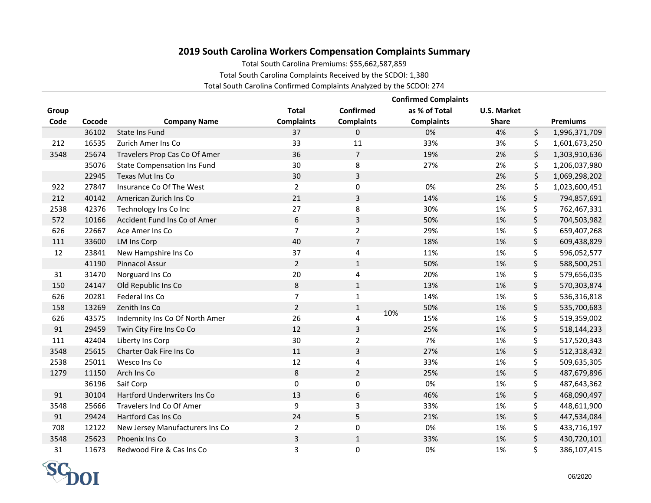## **2019 South Carolina Workers Compensation Complaints Summary**

Total South Carolina Premiums: \$55,662,587,859

Total South Carolina Complaints Received by the SCDOI: 1,380

Total South Carolina Confirmed Complaints Analyzed by the SCDOI: 274

|       |        |                                    |                   |                         | <b>Confirmed Complaints</b> |                    |                     |
|-------|--------|------------------------------------|-------------------|-------------------------|-----------------------------|--------------------|---------------------|
| Group |        |                                    | <b>Total</b>      | Confirmed               | as % of Total               | <b>U.S. Market</b> |                     |
| Code  | Cocode | <b>Company Name</b>                | <b>Complaints</b> | <b>Complaints</b>       | <b>Complaints</b>           | <b>Share</b>       | <b>Premiums</b>     |
|       | 36102  | <b>State Ins Fund</b>              | 37                | $\mathbf{0}$            | 0%                          | 4%                 | \$<br>1,996,371,709 |
| 212   | 16535  | Zurich Amer Ins Co                 | 33                | 11                      | 33%                         | 3%                 | \$<br>1,601,673,250 |
| 3548  | 25674  | Travelers Prop Cas Co Of Amer      | 36                | $\overline{7}$          | 19%                         | 2%                 | \$<br>1,303,910,636 |
|       | 35076  | <b>State Compensation Ins Fund</b> | 30                | 8                       | 27%                         | 2%                 | \$<br>1,206,037,980 |
|       | 22945  | Texas Mut Ins Co                   | 30                | 3                       |                             | 2%                 | \$<br>1,069,298,202 |
| 922   | 27847  | Insurance Co Of The West           | $\overline{2}$    | 0                       | 0%                          | 2%                 | \$<br>1,023,600,451 |
| 212   | 40142  | American Zurich Ins Co             | 21                | 3                       | 14%                         | 1%                 | \$<br>794,857,691   |
| 2538  | 42376  | Technology Ins Co Inc              | 27                | 8                       | 30%                         | 1%                 | \$<br>762,467,331   |
| 572   | 10166  | Accident Fund Ins Co of Amer       | 6                 | $\overline{3}$          | 50%                         | $1\%$              | \$<br>704,503,982   |
| 626   | 22667  | Ace Amer Ins Co                    | $\overline{7}$    | $\overline{2}$          | 29%                         | 1%                 | \$<br>659,407,268   |
| 111   | 33600  | <b>LM Ins Corp</b>                 | 40                | $\overline{7}$          | 18%                         | $1\%$              | \$<br>609,438,829   |
| 12    | 23841  | New Hampshire Ins Co               | 37                | 4                       | 11%                         | 1%                 | \$<br>596,052,577   |
|       | 41190  | Pinnacol Assur                     | $\overline{2}$    | $\mathbf{1}$            | 50%                         | 1%                 | \$<br>588,500,251   |
| 31    | 31470  | Norguard Ins Co                    | 20                | 4                       | 20%                         | 1%                 | \$<br>579,656,035   |
| 150   | 24147  | Old Republic Ins Co                | 8                 | $\mathbf{1}$            | 13%                         | 1%                 | \$<br>570,303,874   |
| 626   | 20281  | Federal Ins Co                     | $\overline{7}$    | $\mathbf 1$             | 14%                         | 1%                 | \$<br>536,316,818   |
| 158   | 13269  | Zenith Ins Co                      | $\overline{2}$    | $\mathbf{1}$            | 50%                         | 1%                 | \$<br>535,700,683   |
| 626   | 43575  | Indemnity Ins Co Of North Amer     | 26                | $\overline{\mathbf{4}}$ | 10%<br>15%                  | 1%                 | \$<br>519,359,002   |
| 91    | 29459  | Twin City Fire Ins Co Co           | 12                | 3                       | 25%                         | 1%                 | \$<br>518,144,233   |
| 111   | 42404  | Liberty Ins Corp                   | 30                | $\overline{2}$          | 7%                          | 1%                 | \$<br>517,520,343   |
| 3548  | 25615  | Charter Oak Fire Ins Co            | $11\,$            | 3                       | 27%                         | $1\%$              | \$<br>512,318,432   |
| 2538  | 25011  | Wesco Ins Co                       | 12                | 4                       | 33%                         | 1%                 | \$<br>509,635,305   |
| 1279  | 11150  | Arch Ins Co                        | $\,8\,$           | $\overline{2}$          | 25%                         | 1%                 | \$<br>487,679,896   |
|       | 36196  | Saif Corp                          | $\mathbf 0$       | 0                       | 0%                          | 1%                 | \$<br>487,643,362   |
| 91    | 30104  | Hartford Underwriters Ins Co       | 13                | 6                       | 46%                         | 1%                 | \$<br>468,090,497   |
| 3548  | 25666  | Travelers Ind Co Of Amer           | 9                 | 3                       | 33%                         | 1%                 | \$<br>448,611,900   |
| 91    | 29424  | Hartford Cas Ins Co                | 24                | 5                       | 21%                         | 1%                 | \$<br>447,534,084   |
| 708   | 12122  | New Jersey Manufacturers Ins Co    | $\overline{2}$    | $\pmb{0}$               | 0%                          | 1%                 | \$<br>433,716,197   |
| 3548  | 25623  | Phoenix Ins Co                     | 3                 | $\mathbf{1}$            | 33%                         | $1\%$              | \$<br>430,720,101   |
| 31    | 11673  | Redwood Fire & Cas Ins Co          | 3                 | 0                       | 0%                          | 1%                 | \$<br>386,107,415   |

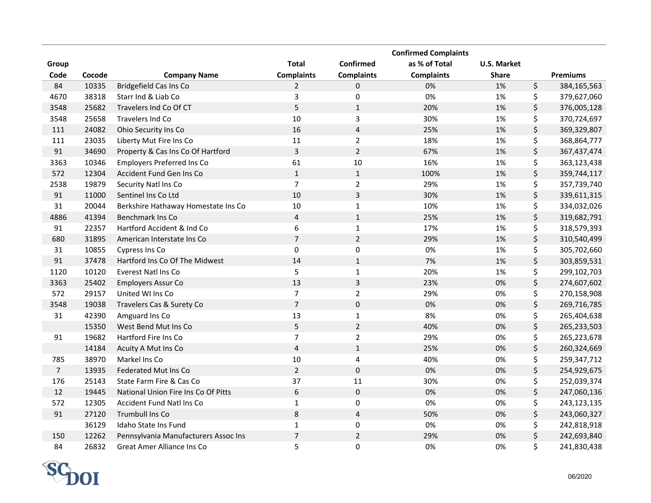|                |        |                                      |                   |                         | <b>Confirmed Complaints</b> |                    |                   |
|----------------|--------|--------------------------------------|-------------------|-------------------------|-----------------------------|--------------------|-------------------|
| Group          |        |                                      | <b>Total</b>      | Confirmed               | as % of Total               | <b>U.S. Market</b> |                   |
| Code           | Cocode | <b>Company Name</b>                  | <b>Complaints</b> | <b>Complaints</b>       | <b>Complaints</b>           | <b>Share</b>       | <b>Premiums</b>   |
| 84             | 10335  | <b>Bridgefield Cas Ins Co</b>        | 2                 | 0                       | 0%                          | 1%                 | \$<br>384,165,563 |
| 4670           | 38318  | Starr Ind & Liab Co                  | 3                 | 0                       | 0%                          | 1%                 | \$<br>379,627,060 |
| 3548           | 25682  | Travelers Ind Co Of CT               | 5                 | $\mathbf{1}$            | 20%                         | 1%                 | \$<br>376,005,128 |
| 3548           | 25658  | Travelers Ind Co                     | 10                | 3                       | 30%                         | 1%                 | \$<br>370,724,697 |
| 111            | 24082  | Ohio Security Ins Co                 | 16                | $\sqrt{4}$              | 25%                         | 1%                 | \$<br>369,329,807 |
| 111            | 23035  | Liberty Mut Fire Ins Co              | 11                | $\overline{2}$          | 18%                         | 1%                 | \$<br>368,864,777 |
| 91             | 34690  | Property & Cas Ins Co Of Hartford    | 3                 | $\overline{2}$          | 67%                         | 1%                 | \$<br>367,437,474 |
| 3363           | 10346  | <b>Employers Preferred Ins Co</b>    | 61                | 10                      | 16%                         | 1%                 | \$<br>363,123,438 |
| 572            | 12304  | Accident Fund Gen Ins Co             | $\mathbf 1$       | $\mathbf 1$             | 100%                        | 1%                 | \$<br>359,744,117 |
| 2538           | 19879  | Security Natl Ins Co                 | $\overline{7}$    | $\overline{2}$          | 29%                         | 1%                 | \$<br>357,739,740 |
| 91             | 11000  | Sentinel Ins Co Ltd                  | 10                | $\overline{\mathbf{3}}$ | 30%                         | 1%                 | \$<br>339,611,315 |
| 31             | 20044  | Berkshire Hathaway Homestate Ins Co  | 10                | $\mathbf{1}$            | 10%                         | 1%                 | \$<br>334,032,026 |
| 4886           | 41394  | Benchmark Ins Co                     | $\sqrt{4}$        | $\mathbf 1$             | 25%                         | 1%                 | \$<br>319,682,791 |
| 91             | 22357  | Hartford Accident & Ind Co           | 6                 | $\mathbf 1$             | 17%                         | 1%                 | \$<br>318,579,393 |
| 680            | 31895  | American Interstate Ins Co.          | $\overline{7}$    | $\overline{2}$          | 29%                         | 1%                 | \$<br>310,540,499 |
| 31             | 10855  | Cypress Ins Co                       | $\mathbf 0$       | $\pmb{0}$               | 0%                          | 1%                 | \$<br>305,702,660 |
| 91             | 37478  | Hartford Ins Co Of The Midwest       | 14                | $\mathbf 1$             | 7%                          | 1%                 | \$<br>303,859,531 |
| 1120           | 10120  | Everest Natl Ins Co                  | 5                 | $\mathbf 1$             | 20%                         | 1%                 | \$<br>299,102,703 |
| 3363           | 25402  | <b>Employers Assur Co</b>            | 13                | $\overline{\mathbf{3}}$ | 23%                         | 0%                 | \$<br>274,607,602 |
| 572            | 29157  | United WI Ins Co                     | $\overline{7}$    | $\mathbf 2$             | 29%                         | 0%                 | \$<br>270,158,908 |
| 3548           | 19038  | Travelers Cas & Surety Co            | $\overline{7}$    | $\mathbf 0$             | 0%                          | 0%                 | \$<br>269,716,785 |
| 31             | 42390  | Amguard Ins Co                       | 13                | $\mathbf 1$             | 8%                          | 0%                 | \$<br>265,404,638 |
|                | 15350  | West Bend Mut Ins Co                 | 5                 | $\overline{2}$          | 40%                         | 0%                 | \$<br>265,233,503 |
| 91             | 19682  | Hartford Fire Ins Co                 | $\overline{7}$    | $\mathbf 2$             | 29%                         | 0%                 | \$<br>265,223,678 |
|                | 14184  | Acuity A Mut Ins Co                  | $\overline{4}$    | $\mathbf 1$             | 25%                         | 0%                 | \$<br>260,324,669 |
| 785            | 38970  | Markel Ins Co                        | 10                | 4                       | 40%                         | 0%                 | \$<br>259,347,712 |
| $\overline{7}$ | 13935  | Federated Mut Ins Co                 | $\overline{2}$    | $\mathbf 0$             | 0%                          | 0%                 | \$<br>254,929,675 |
| 176            | 25143  | State Farm Fire & Cas Co             | 37                | 11                      | 30%                         | 0%                 | \$<br>252,039,374 |
| 12             | 19445  | National Union Fire Ins Co Of Pitts  | 6                 | $\mathbf 0$             | 0%                          | 0%                 | \$<br>247,060,136 |
| 572            | 12305  | Accident Fund Natl Ins Co            | $\mathbf 1$       | $\pmb{0}$               | 0%                          | 0%                 | \$<br>243,123,135 |
| 91             | 27120  | Trumbull Ins Co                      | 8                 | $\overline{4}$          | 50%                         | 0%                 | \$<br>243,060,327 |
|                | 36129  | Idaho State Ins Fund                 | $1\,$             | 0                       | 0%                          | 0%                 | \$<br>242,818,918 |
| 150            | 12262  | Pennsylvania Manufacturers Assoc Ins | $\overline{7}$    | $\overline{2}$          | 29%                         | 0%                 | \$<br>242,693,840 |
| 84             | 26832  | <b>Great Amer Alliance Ins Co</b>    | 5                 | 0                       | 0%                          | 0%                 | \$<br>241,830,438 |

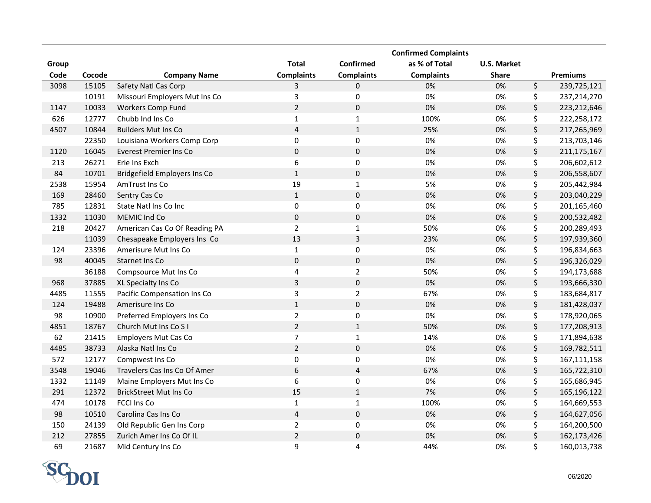|       |        |                               |                         |                         | <b>Confirmed Complaints</b> |                    |                     |
|-------|--------|-------------------------------|-------------------------|-------------------------|-----------------------------|--------------------|---------------------|
| Group |        |                               | <b>Total</b>            | Confirmed               | as % of Total               | <b>U.S. Market</b> |                     |
| Code  | Cocode | <b>Company Name</b>           | <b>Complaints</b>       | <b>Complaints</b>       | <b>Complaints</b>           | <b>Share</b>       | <b>Premiums</b>     |
| 3098  | 15105  | Safety Natl Cas Corp          | 3                       | 0                       | 0%                          | 0%                 | \$<br>239,725,121   |
|       | 10191  | Missouri Employers Mut Ins Co | 3                       | 0                       | 0%                          | 0%                 | \$<br>237,214,270   |
| 1147  | 10033  | <b>Workers Comp Fund</b>      | $\overline{2}$          | $\pmb{0}$               | 0%                          | 0%                 | \$<br>223,212,646   |
| 626   | 12777  | Chubb Ind Ins Co              | $\mathbf{1}$            | $\mathbf{1}$            | 100%                        | 0%                 | \$<br>222,258,172   |
| 4507  | 10844  | <b>Builders Mut Ins Co</b>    | $\overline{4}$          | $\mathbf{1}$            | 25%                         | 0%                 | \$<br>217,265,969   |
|       | 22350  | Louisiana Workers Comp Corp   | 0                       | $\pmb{0}$               | 0%                          | 0%                 | \$<br>213,703,146   |
| 1120  | 16045  | <b>Everest Premier Ins Co</b> | $\pmb{0}$               | $\pmb{0}$               | 0%                          | 0%                 | \$<br>211, 175, 167 |
| 213   | 26271  | Erie Ins Exch                 | 6                       | $\pmb{0}$               | 0%                          | 0%                 | \$<br>206,602,612   |
| 84    | 10701  | Bridgefield Employers Ins Co  | $\mathbf 1$             | $\pmb{0}$               | 0%                          | 0%                 | \$<br>206,558,607   |
| 2538  | 15954  | AmTrust Ins Co                | 19                      | $\mathbf{1}$            | 5%                          | 0%                 | \$<br>205,442,984   |
| 169   | 28460  | Sentry Cas Co                 | $\mathbf{1}$            | $\pmb{0}$               | 0%                          | 0%                 | \$<br>203,040,229   |
| 785   | 12831  | State Natl Ins Co Inc         | $\pmb{0}$               | $\pmb{0}$               | 0%                          | 0%                 | \$<br>201,165,460   |
| 1332  | 11030  | MEMIC Ind Co                  | $\pmb{0}$               | $\pmb{0}$               | 0%                          | 0%                 | \$<br>200,532,482   |
| 218   | 20427  | American Cas Co Of Reading PA | $\overline{2}$          | $\mathbf{1}$            | 50%                         | 0%                 | \$<br>200,289,493   |
|       | 11039  | Chesapeake Employers Ins Co   | 13                      | 3                       | 23%                         | 0%                 | \$<br>197,939,360   |
| 124   | 23396  | Amerisure Mut Ins Co          | $\mathbf 1$             | 0                       | 0%                          | 0%                 | \$<br>196,834,663   |
| 98    | 40045  | Starnet Ins Co                | $\pmb{0}$               | $\pmb{0}$               | 0%                          | 0%                 | \$<br>196,326,029   |
|       | 36188  | Compsource Mut Ins Co         | $\overline{\mathbf{4}}$ | $\overline{2}$          | 50%                         | 0%                 | \$<br>194,173,688   |
| 968   | 37885  | XL Specialty Ins Co           | $\overline{3}$          | $\pmb{0}$               | 0%                          | 0%                 | \$<br>193,666,330   |
| 4485  | 11555  | Pacific Compensation Ins Co   | 3                       | $\mathbf 2$             | 67%                         | 0%                 | \$<br>183,684,817   |
| 124   | 19488  | Amerisure Ins Co              | $\mathbf{1}$            | $\pmb{0}$               | 0%                          | 0%                 | \$<br>181,428,037   |
| 98    | 10900  | Preferred Employers Ins Co    | $\mathbf 2$             | $\pmb{0}$               | 0%                          | 0%                 | \$<br>178,920,065   |
| 4851  | 18767  | Church Mut Ins Co S I         | $\overline{2}$          | $\mathbf{1}$            | 50%                         | 0%                 | \$<br>177,208,913   |
| 62    | 21415  | <b>Employers Mut Cas Co</b>   | $\overline{7}$          | $\mathbf 1$             | 14%                         | 0%                 | \$<br>171,894,638   |
| 4485  | 38733  | Alaska Natl Ins Co            | $\overline{2}$          | $\pmb{0}$               | 0%                          | 0%                 | \$<br>169,782,511   |
| 572   | 12177  | Compwest Ins Co               | $\pmb{0}$               | $\pmb{0}$               | 0%                          | 0%                 | \$<br>167,111,158   |
| 3548  | 19046  | Travelers Cas Ins Co Of Amer  | 6                       | $\overline{\mathbf{4}}$ | 67%                         | 0%                 | \$<br>165,722,310   |
| 1332  | 11149  | Maine Employers Mut Ins Co    | 6                       | 0                       | 0%                          | 0%                 | \$<br>165,686,945   |
| 291   | 12372  | <b>BrickStreet Mut Ins Co</b> | 15                      | $\mathbf{1}$            | 7%                          | 0%                 | \$<br>165,196,122   |
| 474   | 10178  | <b>FCCI Ins Co</b>            | 1                       | $\mathbf{1}$            | 100%                        | 0%                 | \$<br>164,669,553   |
| 98    | 10510  | Carolina Cas Ins Co           | $\pmb{4}$               | $\pmb{0}$               | 0%                          | 0%                 | \$<br>164,627,056   |
| 150   | 24139  | Old Republic Gen Ins Corp     | $\mathbf 2$             | 0                       | 0%                          | 0%                 | \$<br>164,200,500   |
| 212   | 27855  | Zurich Amer Ins Co Of IL      | $\sqrt{2}$              | $\pmb{0}$               | 0%                          | 0%                 | \$<br>162,173,426   |
| 69    | 21687  | Mid Century Ins Co            | 9                       | 4                       | 44%                         | 0%                 | \$<br>160,013,738   |

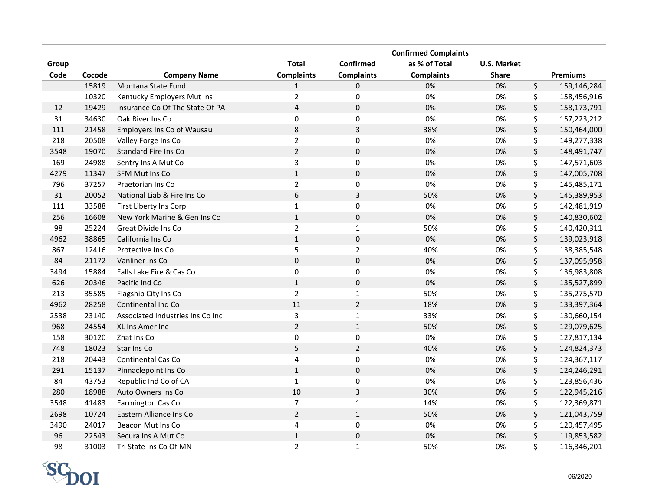|       |        |                                  |                   |                         | <b>Confirmed Complaints</b> |                    |                   |
|-------|--------|----------------------------------|-------------------|-------------------------|-----------------------------|--------------------|-------------------|
| Group |        |                                  | <b>Total</b>      | Confirmed               | as % of Total               | <b>U.S. Market</b> |                   |
| Code  | Cocode | <b>Company Name</b>              | <b>Complaints</b> | <b>Complaints</b>       | <b>Complaints</b>           | <b>Share</b>       | <b>Premiums</b>   |
|       | 15819  | Montana State Fund               | $\mathbf{1}$      | 0                       | 0%                          | 0%                 | \$<br>159,146,284 |
|       | 10320  | Kentucky Employers Mut Ins       | $\overline{2}$    | $\pmb{0}$               | 0%                          | 0%                 | \$<br>158,456,916 |
| 12    | 19429  | Insurance Co Of The State Of PA  | 4                 | $\pmb{0}$               | 0%                          | 0%                 | \$<br>158,173,791 |
| 31    | 34630  | Oak River Ins Co                 | $\pmb{0}$         | $\pmb{0}$               | 0%                          | 0%                 | \$<br>157,223,212 |
| 111   | 21458  | Employers Ins Co of Wausau       | 8                 | $\overline{\mathbf{3}}$ | 38%                         | 0%                 | \$<br>150,464,000 |
| 218   | 20508  | Valley Forge Ins Co              | $\overline{2}$    | 0                       | 0%                          | 0%                 | \$<br>149,277,338 |
| 3548  | 19070  | Standard Fire Ins Co             | $\overline{2}$    | $\pmb{0}$               | 0%                          | 0%                 | \$<br>148,491,747 |
| 169   | 24988  | Sentry Ins A Mut Co              | 3                 | $\pmb{0}$               | 0%                          | 0%                 | \$<br>147,571,603 |
| 4279  | 11347  | <b>SFM Mut Ins Co</b>            | $\mathbf 1$       | $\pmb{0}$               | 0%                          | 0%                 | \$<br>147,005,708 |
| 796   | 37257  | Praetorian Ins Co                | $\overline{2}$    | 0                       | 0%                          | 0%                 | \$<br>145,485,171 |
| 31    | 20052  | National Liab & Fire Ins Co      | 6                 | $\overline{3}$          | 50%                         | 0%                 | \$<br>145,389,953 |
| 111   | 33588  | First Liberty Ins Corp           | $\mathbf 1$       | $\mathsf 0$             | 0%                          | 0%                 | \$<br>142,481,919 |
| 256   | 16608  | New York Marine & Gen Ins Co     | $\mathbf 1$       | $\mathsf 0$             | 0%                          | 0%                 | \$<br>140,830,602 |
| 98    | 25224  | Great Divide Ins Co              | $\overline{2}$    | $\mathbf 1$             | 50%                         | 0%                 | \$<br>140,420,311 |
| 4962  | 38865  | California Ins Co                | $\mathbf 1$       | $\mathbf 0$             | 0%                          | 0%                 | \$<br>139,023,918 |
| 867   | 12416  | Protective Ins Co                | 5                 | $\mathbf{2}$            | 40%                         | 0%                 | \$<br>138,385,548 |
| 84    | 21172  | Vanliner Ins Co                  | $\pmb{0}$         | $\pmb{0}$               | 0%                          | 0%                 | \$<br>137,095,958 |
| 3494  | 15884  | Falls Lake Fire & Cas Co         | $\pmb{0}$         | 0                       | 0%                          | 0%                 | \$<br>136,983,808 |
| 626   | 20346  | Pacific Ind Co                   | $\mathbf{1}$      | $\mathbf 0$             | 0%                          | 0%                 | \$<br>135,527,899 |
| 213   | 35585  | Flagship City Ins Co             | $\overline{2}$    | $\mathbf 1$             | 50%                         | 0%                 | \$<br>135,275,570 |
| 4962  | 28258  | Continental Ind Co               | 11                | $\overline{2}$          | 18%                         | 0%                 | \$<br>133,397,364 |
| 2538  | 23140  | Associated Industries Ins Co Inc | 3                 | $\mathbf 1$             | 33%                         | 0%                 | \$<br>130,660,154 |
| 968   | 24554  | XL Ins Amer Inc                  | $\overline{2}$    | $\mathbf 1$             | 50%                         | 0%                 | \$<br>129,079,625 |
| 158   | 30120  | Znat Ins Co                      | $\pmb{0}$         | $\pmb{0}$               | 0%                          | 0%                 | \$<br>127,817,134 |
| 748   | 18023  | Star Ins Co                      | 5                 | $\overline{2}$          | 40%                         | 0%                 | \$<br>124,824,373 |
| 218   | 20443  | Continental Cas Co               | 4                 | $\pmb{0}$               | 0%                          | 0%                 | \$<br>124,367,117 |
| 291   | 15137  | Pinnaclepoint Ins Co             | $\mathbf 1$       | $\mathbf 0$             | 0%                          | 0%                 | \$<br>124,246,291 |
| 84    | 43753  | Republic Ind Co of CA            | $\mathbf 1$       | $\mathsf 0$             | 0%                          | 0%                 | \$<br>123,856,436 |
| 280   | 18988  | Auto Owners Ins Co               | 10                | $\mathsf 3$             | 30%                         | 0%                 | \$<br>122,945,216 |
| 3548  | 41483  | Farmington Cas Co                | $\overline{7}$    | $\mathbf 1$             | 14%                         | 0%                 | \$<br>122,369,871 |
| 2698  | 10724  | Eastern Alliance Ins Co          | $\overline{2}$    | $\mathbf 1$             | 50%                         | 0%                 | \$<br>121,043,759 |
| 3490  | 24017  | Beacon Mut Ins Co                | 4                 | $\pmb{0}$               | 0%                          | 0%                 | \$<br>120,457,495 |
| 96    | 22543  | Secura Ins A Mut Co              | $\mathbf 1$       | $\mathsf 0$             | 0%                          | 0%                 | \$<br>119,853,582 |
| 98    | 31003  | Tri State Ins Co Of MN           | $\overline{2}$    | $\mathbf{1}$            | 50%                         | 0%                 | \$<br>116,346,201 |

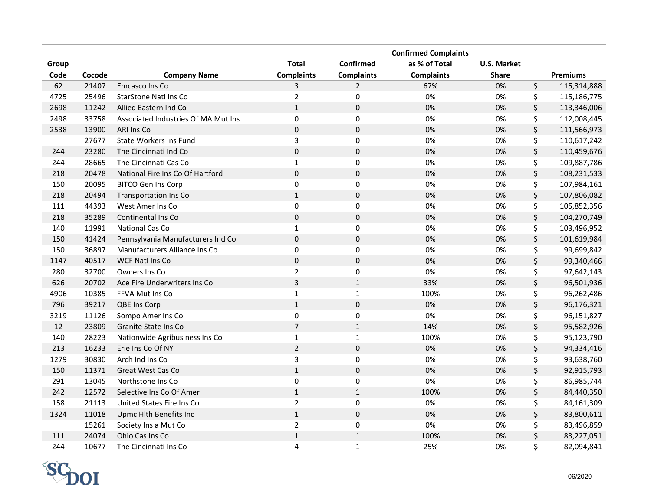|       |        |                                     |                   |                   | <b>Confirmed Complaints</b> |                    |                   |
|-------|--------|-------------------------------------|-------------------|-------------------|-----------------------------|--------------------|-------------------|
| Group |        |                                     | <b>Total</b>      | Confirmed         | as % of Total               | <b>U.S. Market</b> |                   |
| Code  | Cocode | <b>Company Name</b>                 | <b>Complaints</b> | <b>Complaints</b> | <b>Complaints</b>           | <b>Share</b>       | <b>Premiums</b>   |
| 62    | 21407  | Emcasco Ins Co                      | 3                 | $\overline{2}$    | 67%                         | 0%                 | \$<br>115,314,888 |
| 4725  | 25496  | StarStone Natl Ins Co               | $\overline{2}$    | $\pmb{0}$         | 0%                          | 0%                 | \$<br>115,186,775 |
| 2698  | 11242  | Allied Eastern Ind Co               | $1\,$             | $\mathbf 0$       | 0%                          | 0%                 | \$<br>113,346,006 |
| 2498  | 33758  | Associated Industries Of MA Mut Ins | $\mathbf 0$       | 0                 | 0%                          | 0%                 | \$<br>112,008,445 |
| 2538  | 13900  | ARI Ins Co                          | $\mathbf 0$       | $\mathbf 0$       | 0%                          | 0%                 | \$<br>111,566,973 |
|       | 27677  | State Workers Ins Fund              | 3                 | $\pmb{0}$         | 0%                          | 0%                 | \$<br>110,617,242 |
| 244   | 23280  | The Cincinnati Ind Co               | $\pmb{0}$         | $\pmb{0}$         | 0%                          | 0%                 | \$<br>110,459,676 |
| 244   | 28665  | The Cincinnati Cas Co               | $\mathbf{1}$      | $\pmb{0}$         | 0%                          | 0%                 | \$<br>109,887,786 |
| 218   | 20478  | National Fire Ins Co Of Hartford    | $\pmb{0}$         | $\mathbf 0$       | 0%                          | 0%                 | \$<br>108,231,533 |
| 150   | 20095  | <b>BITCO Gen Ins Corp</b>           | $\pmb{0}$         | $\pmb{0}$         | 0%                          | 0%                 | \$<br>107,984,161 |
| 218   | 20494  | <b>Transportation Ins Co</b>        | $1\,$             | $\pmb{0}$         | 0%                          | 0%                 | \$<br>107,806,082 |
| 111   | 44393  | West Amer Ins Co                    | $\pmb{0}$         | $\mathbf 0$       | 0%                          | 0%                 | \$<br>105,852,356 |
| 218   | 35289  | Continental Ins Co                  | $\pmb{0}$         | $\mathbf 0$       | 0%                          | 0%                 | \$<br>104,270,749 |
| 140   | 11991  | National Cas Co                     | $\mathbf{1}$      | $\pmb{0}$         | 0%                          | 0%                 | \$<br>103,496,952 |
| 150   | 41424  | Pennsylvania Manufacturers Ind Co   | $\pmb{0}$         | $\mathbf 0$       | 0%                          | 0%                 | \$<br>101,619,984 |
| 150   | 36897  | Manufacturers Alliance Ins Co       | $\mathbf 0$       | $\pmb{0}$         | 0%                          | 0%                 | \$<br>99,699,842  |
| 1147  | 40517  | <b>WCF Natl Ins Co</b>              | $\pmb{0}$         | $\mathbf 0$       | 0%                          | 0%                 | \$<br>99,340,466  |
| 280   | 32700  | Owners Ins Co                       | $\mathbf 2$       | $\mathbf 0$       | 0%                          | 0%                 | \$<br>97,642,143  |
| 626   | 20702  | Ace Fire Underwriters Ins Co        | $\overline{3}$    | $\mathbf{1}$      | 33%                         | 0%                 | \$<br>96,501,936  |
| 4906  | 10385  | FFVA Mut Ins Co                     | $\mathbf 1$       | $\mathbf{1}$      | 100%                        | 0%                 | \$<br>96,262,486  |
| 796   | 39217  | QBE Ins Corp                        | $\mathbf{1}$      | $\mathbf 0$       | 0%                          | 0%                 | \$<br>96,176,321  |
| 3219  | 11126  | Sompo Amer Ins Co                   | $\mathbf 0$       | $\mathbf 0$       | 0%                          | 0%                 | \$<br>96,151,827  |
| 12    | 23809  | Granite State Ins Co                | $\overline{7}$    | $\mathbf 1$       | 14%                         | 0%                 | \$<br>95,582,926  |
| 140   | 28223  | Nationwide Agribusiness Ins Co      | $\mathbf 1$       | $\mathbf{1}$      | 100%                        | 0%                 | \$<br>95,123,790  |
| 213   | 16233  | Erie Ins Co Of NY                   | $\overline{2}$    | $\mathbf 0$       | 0%                          | 0%                 | \$<br>94,334,416  |
| 1279  | 30830  | Arch Ind Ins Co                     | $\overline{3}$    | $\mathbf 0$       | 0%                          | 0%                 | \$<br>93,638,760  |
| 150   | 11371  | Great West Cas Co                   | $1\,$             | $\mathbf 0$       | 0%                          | 0%                 | \$<br>92,915,793  |
| 291   | 13045  | Northstone Ins Co                   | $\pmb{0}$         | 0                 | 0%                          | 0%                 | \$<br>86,985,744  |
| 242   | 12572  | Selective Ins Co Of Amer            | $\mathbf 1$       | $\mathbf 1$       | 100%                        | 0%                 | \$<br>84,440,350  |
| 158   | 21113  | United States Fire Ins Co           | $\overline{2}$    | $\pmb{0}$         | 0%                          | 0%                 | \$<br>84,161,309  |
| 1324  | 11018  | Upmc Hlth Benefits Inc              | $\mathbf 1$       | $\mathbf 0$       | 0%                          | $0\%$              | \$<br>83,800,611  |
|       | 15261  | Society Ins a Mut Co                | $\mathbf 2$       | $\pmb{0}$         | 0%                          | 0%                 | \$<br>83,496,859  |
| 111   | 24074  | Ohio Cas Ins Co                     | $\mathbf 1$       | $\mathbf 1$       | 100%                        | 0%                 | \$<br>83,227,051  |
| 244   | 10677  | The Cincinnati Ins Co               | $\overline{4}$    | $\mathbf{1}$      | 25%                         | 0%                 | \$<br>82,094,841  |

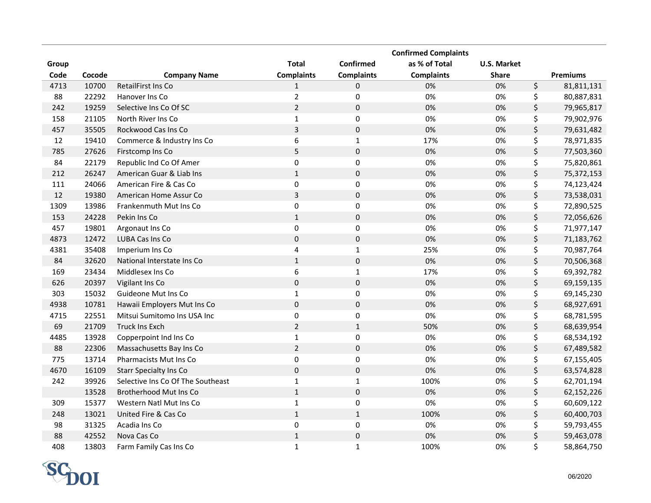|       |        |                                   |                   |                   | <b>Confirmed Complaints</b> |                    |                  |
|-------|--------|-----------------------------------|-------------------|-------------------|-----------------------------|--------------------|------------------|
| Group |        |                                   | <b>Total</b>      | Confirmed         | as % of Total               | <b>U.S. Market</b> |                  |
| Code  | Cocode | <b>Company Name</b>               | <b>Complaints</b> | <b>Complaints</b> | <b>Complaints</b>           | <b>Share</b>       | <b>Premiums</b>  |
| 4713  | 10700  | RetailFirst Ins Co                | 1                 | 0                 | 0%                          | 0%                 | \$<br>81,811,131 |
| 88    | 22292  | Hanover Ins Co                    | $\overline{2}$    | $\pmb{0}$         | 0%                          | 0%                 | \$<br>80,887,831 |
| 242   | 19259  | Selective Ins Co Of SC            | $\overline{2}$    | $\mathbf 0$       | 0%                          | 0%                 | \$<br>79,965,817 |
| 158   | 21105  | North River Ins Co                | $\mathbf{1}$      | 0                 | 0%                          | 0%                 | \$<br>79,902,976 |
| 457   | 35505  | Rockwood Cas Ins Co               | 3                 | $\mathbf 0$       | 0%                          | 0%                 | \$<br>79,631,482 |
| 12    | 19410  | Commerce & Industry Ins Co        | 6                 | $\mathbf{1}$      | 17%                         | 0%                 | \$<br>78,971,835 |
| 785   | 27626  | Firstcomp Ins Co                  | 5                 | $\mathbf 0$       | 0%                          | 0%                 | \$<br>77,503,360 |
| 84    | 22179  | Republic Ind Co Of Amer           | $\pmb{0}$         | $\pmb{0}$         | 0%                          | 0%                 | \$<br>75,820,861 |
| 212   | 26247  | American Guar & Liab Ins          | $\mathbf{1}$      | $\mathbf 0$       | 0%                          | 0%                 | \$<br>75,372,153 |
| 111   | 24066  | American Fire & Cas Co            | $\pmb{0}$         | $\pmb{0}$         | 0%                          | 0%                 | \$<br>74,123,424 |
| 12    | 19380  | American Home Assur Co            | $\overline{3}$    | $\mathbf 0$       | 0%                          | 0%                 | \$<br>73,538,031 |
| 1309  | 13986  | Frankenmuth Mut Ins Co            | $\pmb{0}$         | 0                 | 0%                          | 0%                 | \$<br>72,890,525 |
| 153   | 24228  | Pekin Ins Co                      | $1\,$             | $\mathbf 0$       | 0%                          | 0%                 | \$<br>72,056,626 |
| 457   | 19801  | Argonaut Ins Co                   | $\pmb{0}$         | 0                 | 0%                          | 0%                 | \$<br>71,977,147 |
| 4873  | 12472  | LUBA Cas Ins Co                   | $\pmb{0}$         | $\mathbf 0$       | 0%                          | 0%                 | \$<br>71,183,762 |
| 4381  | 35408  | Imperium Ins Co                   | $\overline{4}$    | $\mathbf{1}$      | 25%                         | 0%                 | \$<br>70,987,764 |
| 84    | 32620  | National Interstate Ins Co        | $1\,$             | $\mathbf 0$       | 0%                          | 0%                 | \$<br>70,506,368 |
| 169   | 23434  | Middlesex Ins Co                  | $\boldsymbol{6}$  | $\mathbf{1}$      | 17%                         | 0%                 | \$<br>69,392,782 |
| 626   | 20397  | Vigilant Ins Co                   | $\pmb{0}$         | $\mathbf 0$       | 0%                          | 0%                 | \$<br>69,159,135 |
| 303   | 15032  | Guideone Mut Ins Co               | $\mathbf 1$       | $\pmb{0}$         | 0%                          | 0%                 | \$<br>69,145,230 |
| 4938  | 10781  | Hawaii Employers Mut Ins Co       | $\pmb{0}$         | $\mathbf 0$       | 0%                          | 0%                 | \$<br>68,927,691 |
| 4715  | 22551  | Mitsui Sumitomo Ins USA Inc       | $\pmb{0}$         | $\pmb{0}$         | 0%                          | 0%                 | \$<br>68,781,595 |
| 69    | 21709  | Truck Ins Exch                    | $\sqrt{2}$        | $\mathbf 1$       | 50%                         | 0%                 | \$<br>68,639,954 |
| 4485  | 13928  | Copperpoint Ind Ins Co            | $\mathbf 1$       | $\pmb{0}$         | 0%                          | 0%                 | \$<br>68,534,192 |
| 88    | 22306  | Massachusetts Bay Ins Co          | $\overline{2}$    | $\pmb{0}$         | 0%                          | 0%                 | \$<br>67,489,582 |
| 775   | 13714  | Pharmacists Mut Ins Co            | $\pmb{0}$         | $\mathbf 0$       | 0%                          | 0%                 | \$<br>67,155,405 |
| 4670  | 16109  | <b>Starr Specialty Ins Co</b>     | $\mathbf 0$       | $\mathbf 0$       | 0%                          | 0%                 | \$<br>63,574,828 |
| 242   | 39926  | Selective Ins Co Of The Southeast | $\mathbf{1}$      | $\mathbf{1}$      | 100%                        | 0%                 | \$<br>62,701,194 |
|       | 13528  | Brotherhood Mut Ins Co            | $\mathbf 1$       | $\mathbf 0$       | 0%                          | 0%                 | \$<br>62,152,226 |
| 309   | 15377  | Western Natl Mut Ins Co           | $\mathbf{1}$      | $\pmb{0}$         | 0%                          | 0%                 | \$<br>60,609,122 |
| 248   | 13021  | United Fire & Cas Co              | $\mathbf 1$       | $\mathbf{1}$      | 100%                        | $0\%$              | \$<br>60,400,703 |
| 98    | 31325  | Acadia Ins Co                     | $\pmb{0}$         | $\pmb{0}$         | 0%                          | 0%                 | \$<br>59,793,455 |
| 88    | 42552  | Nova Cas Co                       | $\mathbf 1$       | $\mathbf 0$       | 0%                          | 0%                 | \$<br>59,463,078 |
| 408   | 13803  | Farm Family Cas Ins Co            | $\mathbf{1}$      | $\mathbf{1}$      | 100%                        | 0%                 | \$<br>58,864,750 |

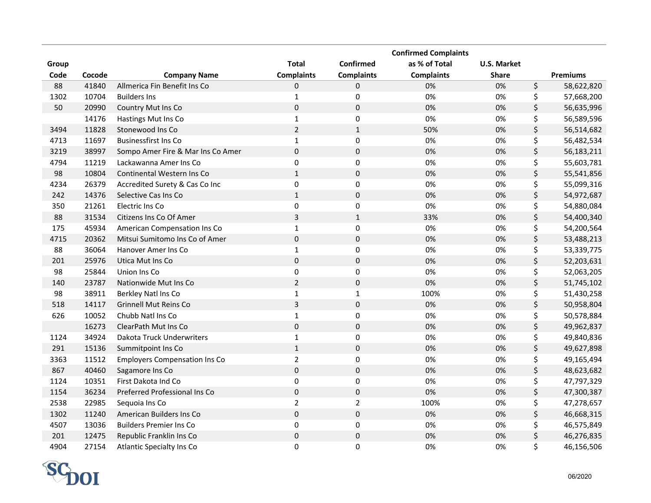|       |        |                                      |                   |                     | <b>Confirmed Complaints</b> |                    |                  |
|-------|--------|--------------------------------------|-------------------|---------------------|-----------------------------|--------------------|------------------|
| Group |        |                                      | <b>Total</b>      | Confirmed           | as % of Total               | <b>U.S. Market</b> |                  |
| Code  | Cocode | <b>Company Name</b>                  | <b>Complaints</b> | <b>Complaints</b>   | <b>Complaints</b>           | <b>Share</b>       | <b>Premiums</b>  |
| 88    | 41840  | Allmerica Fin Benefit Ins Co         | 0                 | 0                   | 0%                          | 0%                 | \$<br>58,622,820 |
| 1302  | 10704  | <b>Builders Ins</b>                  | $\mathbf{1}$      | 0                   | 0%                          | 0%                 | \$<br>57,668,200 |
| 50    | 20990  | Country Mut Ins Co                   | $\mathbf 0$       | $\pmb{0}$           | 0%                          | 0%                 | \$<br>56,635,996 |
|       | 14176  | Hastings Mut Ins Co                  | $\mathbf 1$       | 0                   | 0%                          | 0%                 | \$<br>56,589,596 |
| 3494  | 11828  | Stonewood Ins Co                     | $\overline{2}$    | $\mathbf{1}$        | 50%                         | 0%                 | \$<br>56,514,682 |
| 4713  | 11697  | <b>Businessfirst Ins Co</b>          | $\mathbf{1}$      | 0                   | 0%                          | 0%                 | \$<br>56,482,534 |
| 3219  | 38997  | Sompo Amer Fire & Mar Ins Co Amer    | $\mathbf 0$       | $\pmb{0}$           | 0%                          | 0%                 | \$<br>56,183,211 |
| 4794  | 11219  | Lackawanna Amer Ins Co               | $\mathbf 0$       | 0                   | 0%                          | 0%                 | \$<br>55,603,781 |
| 98    | 10804  | Continental Western Ins Co           | $\mathbf{1}$      | $\pmb{0}$           | 0%                          | 0%                 | \$<br>55,541,856 |
| 4234  | 26379  | Accredited Surety & Cas Co Inc       | $\pmb{0}$         | 0                   | 0%                          | 0%                 | \$<br>55,099,316 |
| 242   | 14376  | Selective Cas Ins Co                 | $1\,$             | $\pmb{0}$           | 0%                          | 0%                 | \$<br>54,972,687 |
| 350   | 21261  | Electric Ins Co                      | $\mathbf 0$       | 0                   | 0%                          | 0%                 | \$<br>54,880,084 |
| 88    | 31534  | Citizens Ins Co Of Amer              | 3                 | $\mathbf 1$         | 33%                         | 0%                 | \$<br>54,400,340 |
| 175   | 45934  | American Compensation Ins Co         | $\mathbf 1$       | $\pmb{0}$           | 0%                          | 0%                 | \$<br>54,200,564 |
| 4715  | 20362  | Mitsui Sumitomo Ins Co of Amer       | $\mathbf 0$       | $\pmb{0}$           | 0%                          | 0%                 | \$<br>53,488,213 |
| 88    | 36064  | Hanover Amer Ins Co                  | $\mathbf 1$       | $\pmb{0}$           | 0%                          | 0%                 | \$<br>53,339,775 |
| 201   | 25976  | Utica Mut Ins Co                     | $\mathbf 0$       | $\pmb{0}$           | 0%                          | 0%                 | \$<br>52,203,631 |
| 98    | 25844  | Union Ins Co                         | $\pmb{0}$         | $\mathsf 0$         | 0%                          | 0%                 | \$<br>52,063,205 |
| 140   | 23787  | Nationwide Mut Ins Co                | $\overline{2}$    | $\pmb{0}$           | 0%                          | 0%                 | \$<br>51,745,102 |
| 98    | 38911  | Berkley Natl Ins Co                  | $\mathbf 1$       | $\mathbf 1$         | 100%                        | 0%                 | \$<br>51,430,258 |
| 518   | 14117  | <b>Grinnell Mut Reins Co</b>         | 3                 | $\mathsf{O}\xspace$ | 0%                          | 0%                 | \$<br>50,958,804 |
| 626   | 10052  | Chubb Natl Ins Co                    | $\mathbf{1}$      | 0                   | 0%                          | 0%                 | \$<br>50,578,884 |
|       | 16273  | ClearPath Mut Ins Co                 | $\mathbf 0$       | $\mathsf 0$         | 0%                          | 0%                 | \$<br>49,962,837 |
| 1124  | 34924  | Dakota Truck Underwriters            | $\mathbf 1$       | $\mathsf 0$         | 0%                          | 0%                 | \$<br>49,840,836 |
| 291   | 15136  | Summitpoint Ins Co                   | $\mathbf 1$       | $\pmb{0}$           | 0%                          | 0%                 | \$<br>49,627,898 |
| 3363  | 11512  | <b>Employers Compensation Ins Co</b> | $\overline{2}$    | 0                   | 0%                          | 0%                 | \$<br>49,165,494 |
| 867   | 40460  | Sagamore Ins Co                      | $\pmb{0}$         | $\mathsf 0$         | 0%                          | 0%                 | \$<br>48,623,682 |
| 1124  | 10351  | First Dakota Ind Co                  | $\pmb{0}$         | $\mathsf 0$         | 0%                          | 0%                 | \$<br>47,797,329 |
| 1154  | 36234  | Preferred Professional Ins Co        | $\pmb{0}$         | $\mathsf 0$         | 0%                          | 0%                 | \$<br>47,300,387 |
| 2538  | 22985  | Sequoia Ins Co                       | $\overline{2}$    | $\overline{2}$      | 100%                        | 0%                 | \$<br>47,278,657 |
| 1302  | 11240  | American Builders Ins Co             | $\pmb{0}$         | $\mathsf 0$         | 0%                          | $0\%$              | \$<br>46,668,315 |
| 4507  | 13036  | <b>Builders Premier Ins Co</b>       | $\pmb{0}$         | 0                   | 0%                          | 0%                 | \$<br>46,575,849 |
| 201   | 12475  | Republic Franklin Ins Co             | $\pmb{0}$         | $\mathsf 0$         | 0%                          | 0%                 | \$<br>46,276,835 |
| 4904  | 27154  | <b>Atlantic Specialty Ins Co</b>     | 0                 | 0                   | 0%                          | 0%                 | \$<br>46,156,506 |

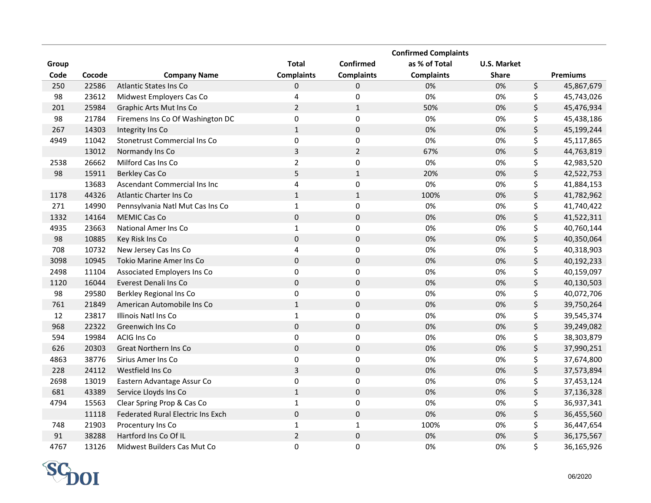|       |        |                                    |                   |                   | <b>Confirmed Complaints</b> |                    |                  |
|-------|--------|------------------------------------|-------------------|-------------------|-----------------------------|--------------------|------------------|
| Group |        |                                    | <b>Total</b>      | Confirmed         | as % of Total               | <b>U.S. Market</b> |                  |
| Code  | Cocode | <b>Company Name</b>                | <b>Complaints</b> | <b>Complaints</b> | <b>Complaints</b>           | <b>Share</b>       | <b>Premiums</b>  |
| 250   | 22586  | <b>Atlantic States Ins Co</b>      | 0                 | 0                 | 0%                          | 0%                 | \$<br>45,867,679 |
| 98    | 23612  | Midwest Employers Cas Co           | 4                 | 0                 | 0%                          | 0%                 | \$<br>45,743,026 |
| 201   | 25984  | Graphic Arts Mut Ins Co            | $\overline{2}$    | $\mathbf{1}$      | 50%                         | 0%                 | \$<br>45,476,934 |
| 98    | 21784  | Firemens Ins Co Of Washington DC   | 0                 | $\pmb{0}$         | 0%                          | 0%                 | \$<br>45,438,186 |
| 267   | 14303  | Integrity Ins Co                   | $\mathbf{1}$      | $\mathbf 0$       | 0%                          | 0%                 | \$<br>45,199,244 |
| 4949  | 11042  | Stonetrust Commercial Ins Co       | $\mathbf 0$       | $\pmb{0}$         | 0%                          | 0%                 | \$<br>45,117,865 |
|       | 13012  | Normandy Ins Co                    | 3                 | $\overline{2}$    | 67%                         | 0%                 | \$<br>44,763,819 |
| 2538  | 26662  | Milford Cas Ins Co                 | $\overline{2}$    | $\pmb{0}$         | 0%                          | 0%                 | \$<br>42,983,520 |
| 98    | 15911  | Berkley Cas Co                     | 5                 | $\mathbf{1}$      | 20%                         | 0%                 | \$<br>42,522,753 |
|       | 13683  | Ascendant Commercial Ins Inc       | 4                 | 0                 | 0%                          | 0%                 | \$<br>41,884,153 |
| 1178  | 44326  | Atlantic Charter Ins Co            | $\mathbf{1}$      | $\mathbf{1}$      | 100%                        | 0%                 | \$<br>41,782,962 |
| 271   | 14990  | Pennsylvania Natl Mut Cas Ins Co   | $\mathbf{1}$      | 0                 | 0%                          | 0%                 | \$<br>41,740,422 |
| 1332  | 14164  | <b>MEMIC Cas Co</b>                | $\pmb{0}$         | $\mathbf 0$       | 0%                          | 0%                 | \$<br>41,522,311 |
| 4935  | 23663  | National Amer Ins Co               | $\mathbf 1$       | 0                 | 0%                          | 0%                 | \$<br>40,760,144 |
| 98    | 10885  | Key Risk Ins Co                    | $\pmb{0}$         | $\mathbf 0$       | 0%                          | 0%                 | \$<br>40,350,064 |
| 708   | 10732  | New Jersey Cas Ins Co              | $\overline{4}$    | 0                 | 0%                          | 0%                 | \$<br>40,318,903 |
| 3098  | 10945  | <b>Tokio Marine Amer Ins Co</b>    | $\pmb{0}$         | $\mathbf 0$       | 0%                          | 0%                 | \$<br>40,192,233 |
| 2498  | 11104  | <b>Associated Employers Ins Co</b> | $\mathbf 0$       | $\pmb{0}$         | 0%                          | 0%                 | \$<br>40,159,097 |
| 1120  | 16044  | Everest Denali Ins Co              | $\pmb{0}$         | $\mathbf 0$       | 0%                          | 0%                 | \$<br>40,130,503 |
| 98    | 29580  | Berkley Regional Ins Co            | $\mathbf 0$       | $\mathbf 0$       | 0%                          | 0%                 | \$<br>40,072,706 |
| 761   | 21849  | American Automobile Ins Co         | $\mathbf{1}$      | $\mathbf 0$       | 0%                          | 0%                 | \$<br>39,750,264 |
| 12    | 23817  | Illinois Natl Ins Co               | $\mathbf 1$       | $\mathbf 0$       | 0%                          | 0%                 | \$<br>39,545,374 |
| 968   | 22322  | Greenwich Ins Co                   | $\pmb{0}$         | $\pmb{0}$         | 0%                          | 0%                 | \$<br>39,249,082 |
| 594   | 19984  | <b>ACIG Ins Co</b>                 | $\pmb{0}$         | $\mathbf 0$       | 0%                          | 0%                 | \$<br>38,303,879 |
| 626   | 20303  | Great Northern Ins Co              | $\pmb{0}$         | $\mathbf 0$       | 0%                          | 0%                 | \$<br>37,990,251 |
| 4863  | 38776  | Sirius Amer Ins Co                 | $\pmb{0}$         | $\pmb{0}$         | 0%                          | 0%                 | \$<br>37,674,800 |
| 228   | 24112  | Westfield Ins Co                   | $\overline{3}$    | $\mathbf 0$       | 0%                          | 0%                 | \$<br>37,573,894 |
| 2698  | 13019  | Eastern Advantage Assur Co         | $\pmb{0}$         | $\pmb{0}$         | 0%                          | 0%                 | \$<br>37,453,124 |
| 681   | 43389  | Service Lloyds Ins Co              | $\mathbf 1$       | $\mathbf 0$       | 0%                          | 0%                 | \$<br>37,136,328 |
| 4794  | 15563  | Clear Spring Prop & Cas Co         | 1                 | $\pmb{0}$         | 0%                          | 0%                 | \$<br>36,937,341 |
|       | 11118  | Federated Rural Electric Ins Exch  | $\pmb{0}$         | $\pmb{0}$         | 0%                          | 0%                 | \$<br>36,455,560 |
| 748   | 21903  | Procentury Ins Co                  | $1\,$             | $\mathbf{1}$      | 100%                        | 0%                 | \$<br>36,447,654 |
| 91    | 38288  | Hartford Ins Co Of IL              | $\overline{2}$    | $\mathbf 0$       | 0%                          | 0%                 | \$<br>36,175,567 |
| 4767  | 13126  | Midwest Builders Cas Mut Co        | $\mathbf 0$       | 0                 | 0%                          | 0%                 | \$<br>36,165,926 |

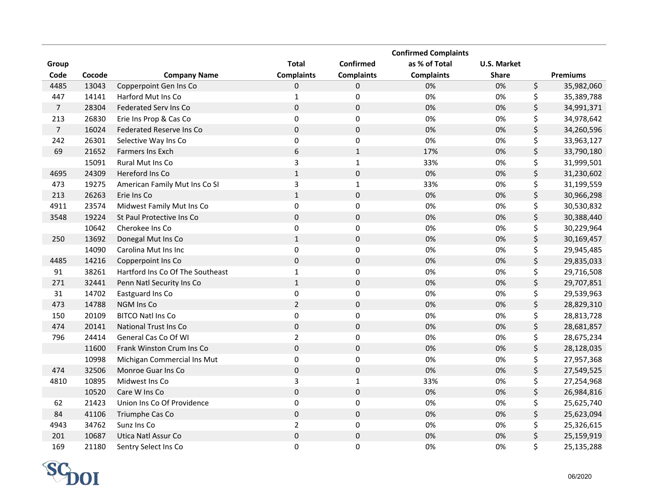|                |        |                                  |                   |                   | <b>Confirmed Complaints</b> |                    |                  |
|----------------|--------|----------------------------------|-------------------|-------------------|-----------------------------|--------------------|------------------|
| Group          |        |                                  | <b>Total</b>      | Confirmed         | as % of Total               | <b>U.S. Market</b> |                  |
| Code           | Cocode | <b>Company Name</b>              | <b>Complaints</b> | <b>Complaints</b> | <b>Complaints</b>           | <b>Share</b>       | <b>Premiums</b>  |
| 4485           | 13043  | Copperpoint Gen Ins Co           | 0                 | 0                 | 0%                          | 0%                 | \$<br>35,982,060 |
| 447            | 14141  | Harford Mut Ins Co               | $\mathbf{1}$      | 0                 | 0%                          | 0%                 | \$<br>35,389,788 |
| $\overline{7}$ | 28304  | Federated Serv Ins Co            | $\pmb{0}$         | $\pmb{0}$         | 0%                          | 0%                 | \$<br>34,991,371 |
| 213            | 26830  | Erie Ins Prop & Cas Co           | $\mathbf 0$       | $\pmb{0}$         | 0%                          | 0%                 | \$<br>34,978,642 |
| $\overline{7}$ | 16024  | Federated Reserve Ins Co         | $\mathbf 0$       | $\pmb{0}$         | 0%                          | 0%                 | \$<br>34,260,596 |
| 242            | 26301  | Selective Way Ins Co             | $\mathbf 0$       | $\pmb{0}$         | 0%                          | 0%                 | \$<br>33,963,127 |
| 69             | 21652  | <b>Farmers Ins Exch</b>          | $\boldsymbol{6}$  | $\mathbf{1}$      | 17%                         | 0%                 | \$<br>33,790,180 |
|                | 15091  | <b>Rural Mut Ins Co</b>          | 3                 | $\mathbf{1}$      | 33%                         | 0%                 | \$<br>31,999,501 |
| 4695           | 24309  | Hereford Ins Co                  | $\mathbf 1$       | $\mathbf 0$       | 0%                          | 0%                 | \$<br>31,230,602 |
| 473            | 19275  | American Family Mut Ins Co SI    | $\overline{3}$    | $\mathbf{1}$      | 33%                         | 0%                 | \$<br>31,199,559 |
| 213            | 26263  | Erie Ins Co                      | $\mathbf{1}$      | $\mathbf 0$       | 0%                          | 0%                 | \$<br>30,966,298 |
| 4911           | 23574  | Midwest Family Mut Ins Co        | $\pmb{0}$         | $\pmb{0}$         | 0%                          | 0%                 | \$<br>30,530,832 |
| 3548           | 19224  | St Paul Protective Ins Co        | $\pmb{0}$         | $\pmb{0}$         | 0%                          | 0%                 | \$<br>30,388,440 |
|                | 10642  | Cherokee Ins Co                  | $\mathbf 0$       | 0                 | 0%                          | 0%                 | \$<br>30,229,964 |
| 250            | 13692  | Donegal Mut Ins Co               | $1\,$             | $\mathbf 0$       | 0%                          | 0%                 | \$<br>30,169,457 |
|                | 14090  | Carolina Mut Ins Inc             | $\pmb{0}$         | 0                 | 0%                          | 0%                 | \$<br>29,945,485 |
| 4485           | 14216  | Copperpoint Ins Co               | $\pmb{0}$         | $\pmb{0}$         | 0%                          | 0%                 | \$<br>29,835,033 |
| 91             | 38261  | Hartford Ins Co Of The Southeast | $\mathbf 1$       | $\pmb{0}$         | 0%                          | 0%                 | \$<br>29,716,508 |
| 271            | 32441  | Penn Natl Security Ins Co        | $\mathbf 1$       | $\mathbf 0$       | 0%                          | 0%                 | \$<br>29,707,851 |
| 31             | 14702  | Eastguard Ins Co                 | $\mathbf 0$       | $\pmb{0}$         | 0%                          | 0%                 | \$<br>29,539,963 |
| 473            | 14788  | <b>NGM Ins Co</b>                | $\overline{2}$    | $\mathbf 0$       | 0%                          | 0%                 | \$<br>28,829,310 |
| 150            | 20109  | <b>BITCO Natl Ins Co</b>         | $\mathbf 0$       | $\pmb{0}$         | 0%                          | 0%                 | \$<br>28,813,728 |
| 474            | 20141  | <b>National Trust Ins Co</b>     | $\pmb{0}$         | $\pmb{0}$         | 0%                          | 0%                 | \$<br>28,681,857 |
| 796            | 24414  | General Cas Co Of WI             | $\overline{2}$    | $\mathbf 0$       | 0%                          | 0%                 | \$<br>28,675,234 |
|                | 11600  | Frank Winston Crum Ins Co        | $\pmb{0}$         | $\mathbf 0$       | 0%                          | 0%                 | \$<br>28,128,035 |
|                | 10998  | Michigan Commercial Ins Mut      | $\pmb{0}$         | 0                 | 0%                          | 0%                 | \$<br>27,957,368 |
| 474            | 32506  | Monroe Guar Ins Co               | $\pmb{0}$         | $\pmb{0}$         | 0%                          | 0%                 | \$<br>27,549,525 |
| 4810           | 10895  | Midwest Ins Co                   | $\mathsf 3$       | $\mathbf 1$       | 33%                         | 0%                 | \$<br>27,254,968 |
|                | 10520  | Care W Ins Co                    | $\pmb{0}$         | $\pmb{0}$         | 0%                          | 0%                 | \$<br>26,984,816 |
| 62             | 21423  | Union Ins Co Of Providence       | $\pmb{0}$         | $\pmb{0}$         | 0%                          | 0%                 | \$<br>25,625,740 |
| 84             | 41106  | Triumphe Cas Co                  | $\mathbf 0$       | $\pmb{0}$         | 0%                          | $0\%$              | \$<br>25,623,094 |
| 4943           | 34762  | Sunz Ins Co                      | $\mathbf 2$       | 0                 | 0%                          | 0%                 | \$<br>25,326,615 |
| 201            | 10687  | Utica Natl Assur Co              | $\mathbf 0$       | $\mathbf 0$       | 0%                          | 0%                 | \$<br>25,159,919 |
| 169            | 21180  | Sentry Select Ins Co             | 0                 | 0                 | 0%                          | 0%                 | \$<br>25,135,288 |

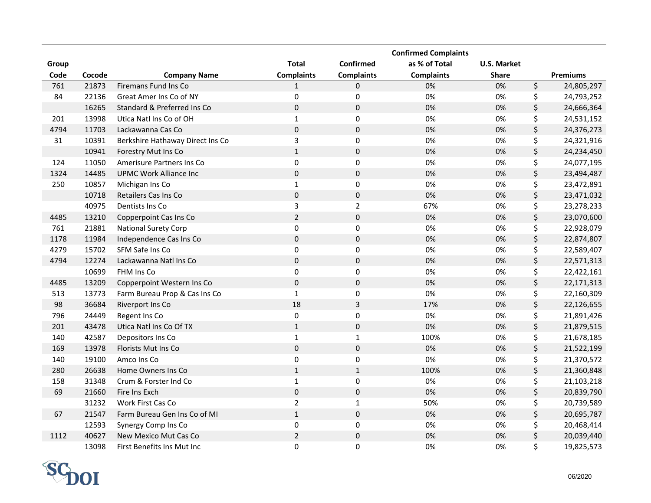|       |        |                                  |                   |                   | <b>Confirmed Complaints</b> |                    |                  |
|-------|--------|----------------------------------|-------------------|-------------------|-----------------------------|--------------------|------------------|
| Group |        |                                  | <b>Total</b>      | Confirmed         | as % of Total               | <b>U.S. Market</b> |                  |
| Code  | Cocode | <b>Company Name</b>              | <b>Complaints</b> | <b>Complaints</b> | <b>Complaints</b>           | <b>Share</b>       | <b>Premiums</b>  |
| 761   | 21873  | Firemans Fund Ins Co             | 1                 | 0                 | 0%                          | 0%                 | \$<br>24,805,297 |
| 84    | 22136  | Great Amer Ins Co of NY          | 0                 | $\pmb{0}$         | 0%                          | 0%                 | \$<br>24,793,252 |
|       | 16265  | Standard & Preferred Ins Co      | $\mathbf 0$       | $\pmb{0}$         | 0%                          | 0%                 | \$<br>24,666,364 |
| 201   | 13998  | Utica Natl Ins Co of OH          | $\mathbf{1}$      | $\mathbf 0$       | 0%                          | 0%                 | \$<br>24,531,152 |
| 4794  | 11703  | Lackawanna Cas Co                | $\mathbf 0$       | $\mathbf 0$       | 0%                          | 0%                 | \$<br>24,376,273 |
| 31    | 10391  | Berkshire Hathaway Direct Ins Co | 3                 | $\pmb{0}$         | 0%                          | 0%                 | \$<br>24,321,916 |
|       | 10941  | Forestry Mut Ins Co              | $\mathbf 1$       | $\pmb{0}$         | 0%                          | 0%                 | \$<br>24,234,450 |
| 124   | 11050  | Amerisure Partners Ins Co        | 0                 | $\pmb{0}$         | 0%                          | 0%                 | \$<br>24,077,195 |
| 1324  | 14485  | <b>UPMC Work Alliance Inc</b>    | $\pmb{0}$         | $\pmb{0}$         | 0%                          | 0%                 | \$<br>23,494,487 |
| 250   | 10857  | Michigan Ins Co                  | $\mathbf{1}$      | $\pmb{0}$         | 0%                          | 0%                 | \$<br>23,472,891 |
|       | 10718  | Retailers Cas Ins Co             | $\pmb{0}$         | $\pmb{0}$         | 0%                          | 0%                 | \$<br>23,471,032 |
|       | 40975  | Dentists Ins Co                  | 3                 | $\overline{2}$    | 67%                         | 0%                 | \$<br>23,278,233 |
| 4485  | 13210  | Copperpoint Cas Ins Co           | $\overline{2}$    | $\pmb{0}$         | 0%                          | 0%                 | \$<br>23,070,600 |
| 761   | 21881  | <b>National Surety Corp</b>      | $\pmb{0}$         | $\pmb{0}$         | 0%                          | 0%                 | \$<br>22,928,079 |
| 1178  | 11984  | Independence Cas Ins Co          | $\pmb{0}$         | $\pmb{0}$         | 0%                          | 0%                 | \$<br>22,874,807 |
| 4279  | 15702  | SFM Safe Ins Co                  | $\mathbf 0$       | $\pmb{0}$         | 0%                          | 0%                 | \$<br>22,589,407 |
| 4794  | 12274  | Lackawanna Natl Ins Co           | $\pmb{0}$         | $\pmb{0}$         | 0%                          | 0%                 | \$<br>22,571,313 |
|       | 10699  | FHM Ins Co                       | 0                 | $\mathbf 0$       | 0%                          | 0%                 | \$<br>22,422,161 |
| 4485  | 13209  | Copperpoint Western Ins Co       | $\pmb{0}$         | $\pmb{0}$         | 0%                          | 0%                 | \$<br>22,171,313 |
| 513   | 13773  | Farm Bureau Prop & Cas Ins Co    | $\mathbf 1$       | $\mathbf 0$       | 0%                          | 0%                 | \$<br>22,160,309 |
| 98    | 36684  | Riverport Ins Co                 | 18                | 3                 | 17%                         | 0%                 | \$<br>22,126,655 |
| 796   | 24449  | Regent Ins Co                    | $\mathbf 0$       | $\mathbf 0$       | 0%                          | 0%                 | \$<br>21,891,426 |
| 201   | 43478  | Utica Natl Ins Co Of TX          | $\mathbf{1}$      | $\pmb{0}$         | 0%                          | 0%                 | \$<br>21,879,515 |
| 140   | 42587  | Depositors Ins Co                | $\mathbf 1$       | $\mathbf{1}$      | 100%                        | 0%                 | \$<br>21,678,185 |
| 169   | 13978  | Florists Mut Ins Co              | $\pmb{0}$         | $\pmb{0}$         | 0%                          | 0%                 | \$<br>21,522,199 |
| 140   | 19100  | Amco Ins Co                      | $\pmb{0}$         | $\mathbf 0$       | 0%                          | 0%                 | \$<br>21,370,572 |
| 280   | 26638  | Home Owners Ins Co               | $\mathbf{1}$      | $\mathbf 1$       | 100%                        | 0%                 | \$<br>21,360,848 |
| 158   | 31348  | Crum & Forster Ind Co            | $\mathbf{1}$      | $\pmb{0}$         | 0%                          | 0%                 | \$<br>21,103,218 |
| 69    | 21660  | Fire Ins Exch                    | $\pmb{0}$         | $\mathbf 0$       | 0%                          | 0%                 | \$<br>20,839,790 |
|       | 31232  | Work First Cas Co                | $\overline{2}$    | $\mathbf{1}$      | 50%                         | 0%                 | \$<br>20,739,589 |
| 67    | 21547  | Farm Bureau Gen Ins Co of MI     | $\mathbf 1$       | $\pmb{0}$         | 0%                          | 0%                 | \$<br>20,695,787 |
|       | 12593  | Synergy Comp Ins Co              | $\pmb{0}$         | $\pmb{0}$         | 0%                          | 0%                 | \$<br>20,468,414 |
| 1112  | 40627  | New Mexico Mut Cas Co            | $\sqrt{2}$        | 0                 | 0%                          | 0%                 | \$<br>20,039,440 |
|       | 13098  | First Benefits Ins Mut Inc       | 0                 | 0                 | 0%                          | 0%                 | \$<br>19,825,573 |

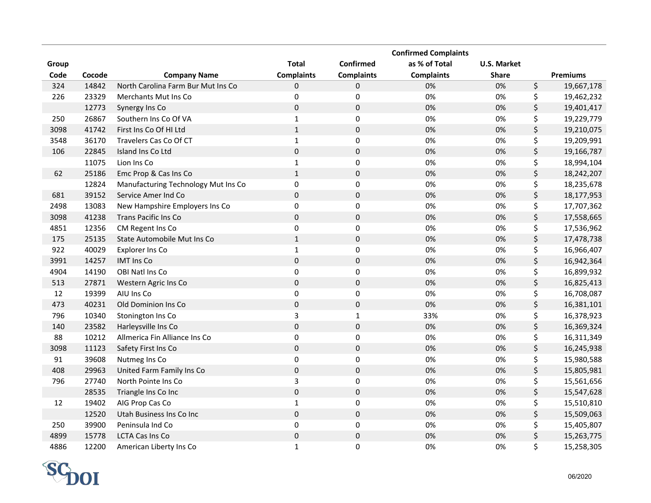|       |        |                                     |                     |                   | <b>Confirmed Complaints</b> |                    |                  |
|-------|--------|-------------------------------------|---------------------|-------------------|-----------------------------|--------------------|------------------|
| Group |        |                                     | <b>Total</b>        | Confirmed         | as % of Total               | <b>U.S. Market</b> |                  |
| Code  | Cocode | <b>Company Name</b>                 | <b>Complaints</b>   | <b>Complaints</b> | <b>Complaints</b>           | <b>Share</b>       | <b>Premiums</b>  |
| 324   | 14842  | North Carolina Farm Bur Mut Ins Co  | 0                   | 0                 | 0%                          | 0%                 | \$<br>19,667,178 |
| 226   | 23329  | Merchants Mut Ins Co                | $\pmb{0}$           | $\pmb{0}$         | 0%                          | 0%                 | \$<br>19,462,232 |
|       | 12773  | Synergy Ins Co                      | $\pmb{0}$           | $\pmb{0}$         | 0%                          | 0%                 | \$<br>19,401,417 |
| 250   | 26867  | Southern Ins Co Of VA               | $\mathbf 1$         | $\pmb{0}$         | 0%                          | 0%                 | \$<br>19,229,779 |
| 3098  | 41742  | First Ins Co Of HI Ltd              | $\mathbf{1}$        | $\mathsf 0$       | 0%                          | 0%                 | \$<br>19,210,075 |
| 3548  | 36170  | Travelers Cas Co Of CT              | $\mathbf{1}$        | $\pmb{0}$         | 0%                          | 0%                 | \$<br>19,209,991 |
| 106   | 22845  | Island Ins Co Ltd                   | $\pmb{0}$           | $\pmb{0}$         | 0%                          | 0%                 | \$<br>19,166,787 |
|       | 11075  | Lion Ins Co                         | $\mathbf 1$         | 0                 | 0%                          | 0%                 | \$<br>18,994,104 |
| 62    | 25186  | Emc Prop & Cas Ins Co               | $\mathbf{1}$        | $\mathsf 0$       | 0%                          | 0%                 | \$<br>18,242,207 |
|       | 12824  | Manufacturing Technology Mut Ins Co | $\pmb{0}$           | 0                 | 0%                          | 0%                 | \$<br>18,235,678 |
| 681   | 39152  | Service Amer Ind Co                 | $\pmb{0}$           | $\pmb{0}$         | 0%                          | 0%                 | \$<br>18,177,953 |
| 2498  | 13083  | New Hampshire Employers Ins Co      | $\pmb{0}$           | $\pmb{0}$         | 0%                          | 0%                 | \$<br>17,707,362 |
| 3098  | 41238  | <b>Trans Pacific Ins Co</b>         | $\pmb{0}$           | $\mathbf 0$       | 0%                          | 0%                 | \$<br>17,558,665 |
| 4851  | 12356  | CM Regent Ins Co                    | $\pmb{0}$           | $\pmb{0}$         | 0%                          | 0%                 | \$<br>17,536,962 |
| 175   | 25135  | State Automobile Mut Ins Co         | $\mathbf{1}$        | $\mathbf 0$       | 0%                          | 0%                 | \$<br>17,478,738 |
| 922   | 40029  | Explorer Ins Co                     | $\mathbf{1}$        | $\pmb{0}$         | 0%                          | 0%                 | \$<br>16,966,407 |
| 3991  | 14257  | <b>IMT Ins Co</b>                   | $\pmb{0}$           | $\pmb{0}$         | 0%                          | 0%                 | \$<br>16,942,364 |
| 4904  | 14190  | OBI Natl Ins Co                     | $\pmb{0}$           | $\mathsf 0$       | 0%                          | 0%                 | \$<br>16,899,932 |
| 513   | 27871  | Western Agric Ins Co                | $\pmb{0}$           | $\pmb{0}$         | 0%                          | 0%                 | \$<br>16,825,413 |
| 12    | 19399  | AIU Ins Co                          | $\pmb{0}$           | 0                 | 0%                          | 0%                 | \$<br>16,708,087 |
| 473   | 40231  | Old Dominion Ins Co                 | $\pmb{0}$           | $\mathbf 0$       | 0%                          | 0%                 | \$<br>16,381,101 |
| 796   | 10340  | Stonington Ins Co                   | 3                   | $\mathbf{1}$      | 33%                         | 0%                 | \$<br>16,378,923 |
| 140   | 23582  | Harleysville Ins Co                 | $\pmb{0}$           | $\mathbf 0$       | 0%                          | 0%                 | \$<br>16,369,324 |
| 88    | 10212  | Allmerica Fin Alliance Ins Co       | $\pmb{0}$           | $\mathbf 0$       | 0%                          | 0%                 | \$<br>16,311,349 |
| 3098  | 11123  | Safety First Ins Co                 | $\pmb{0}$           | $\mathbf 0$       | 0%                          | 0%                 | \$<br>16,245,938 |
| 91    | 39608  | Nutmeg Ins Co                       | $\pmb{0}$           | $\mathbf 0$       | 0%                          | 0%                 | \$<br>15,980,588 |
| 408   | 29963  | United Farm Family Ins Co           | $\pmb{0}$           | $\mathbf 0$       | 0%                          | 0%                 | \$<br>15,805,981 |
| 796   | 27740  | North Pointe Ins Co                 | 3                   | $\mathsf 0$       | 0%                          | 0%                 | \$<br>15,561,656 |
|       | 28535  | Triangle Ins Co Inc                 | $\mathsf{O}\xspace$ | $\mathbf 0$       | 0%                          | 0%                 | \$<br>15,547,628 |
| 12    | 19402  | AIG Prop Cas Co                     | $\mathbf 1$         | $\pmb{0}$         | 0%                          | 0%                 | \$<br>15,510,810 |
|       | 12520  | Utah Business Ins Co Inc            | $\pmb{0}$           | $\mathbf 0$       | 0%                          | $0\%$              | \$<br>15,509,063 |
| 250   | 39900  | Peninsula Ind Co                    | $\pmb{0}$           | 0                 | 0%                          | 0%                 | \$<br>15,405,807 |
| 4899  | 15778  | <b>LCTA Cas Ins Co</b>              | $\mathbf 0$         | $\mathsf 0$       | 0%                          | 0%                 | \$<br>15,263,775 |
| 4886  | 12200  | American Liberty Ins Co             | $\mathbf{1}$        | 0                 | 0%                          | 0%                 | \$<br>15,258,305 |

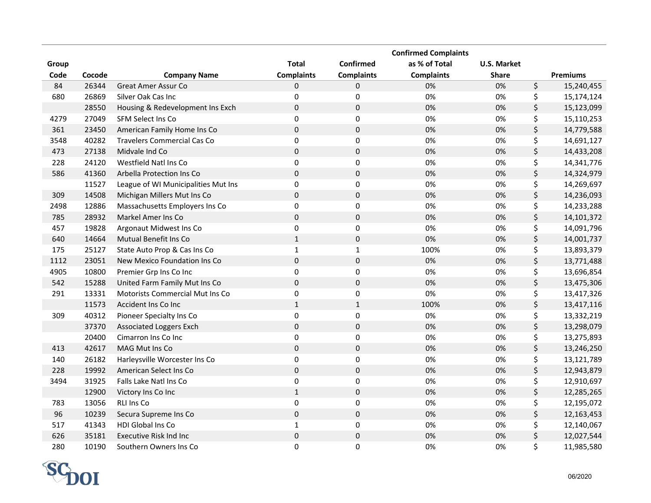|       |        |                                     |                   |                   | <b>Confirmed Complaints</b> |                    |                  |
|-------|--------|-------------------------------------|-------------------|-------------------|-----------------------------|--------------------|------------------|
| Group |        |                                     | <b>Total</b>      | Confirmed         | as % of Total               | <b>U.S. Market</b> |                  |
| Code  | Cocode | <b>Company Name</b>                 | <b>Complaints</b> | <b>Complaints</b> | <b>Complaints</b>           | <b>Share</b>       | <b>Premiums</b>  |
| 84    | 26344  | Great Amer Assur Co                 | 0                 | 0                 | 0%                          | 0%                 | \$<br>15,240,455 |
| 680   | 26869  | Silver Oak Cas Inc                  | 0                 | $\pmb{0}$         | 0%                          | 0%                 | \$<br>15,174,124 |
|       | 28550  | Housing & Redevelopment Ins Exch    | $\mathbf 0$       | $\pmb{0}$         | 0%                          | 0%                 | \$<br>15,123,099 |
| 4279  | 27049  | <b>SFM Select Ins Co</b>            | 0                 | 0                 | 0%                          | 0%                 | \$<br>15,110,253 |
| 361   | 23450  | American Family Home Ins Co         | $\mathbf 0$       | $\mathbf 0$       | 0%                          | 0%                 | \$<br>14,779,588 |
| 3548  | 40282  | <b>Travelers Commercial Cas Co</b>  | $\pmb{0}$         | $\pmb{0}$         | 0%                          | 0%                 | \$<br>14,691,127 |
| 473   | 27138  | Midvale Ind Co                      | $\pmb{0}$         | $\pmb{0}$         | 0%                          | 0%                 | \$<br>14,433,208 |
| 228   | 24120  | Westfield Natl Ins Co               | 0                 | $\pmb{0}$         | 0%                          | 0%                 | \$<br>14,341,776 |
| 586   | 41360  | Arbella Protection Ins Co           | $\mathbf 0$       | $\mathbf 0$       | 0%                          | 0%                 | \$<br>14,324,979 |
|       | 11527  | League of WI Municipalities Mut Ins | $\pmb{0}$         | $\pmb{0}$         | 0%                          | 0%                 | \$<br>14,269,697 |
| 309   | 14508  | Michigan Millers Mut Ins Co         | $\pmb{0}$         | $\pmb{0}$         | 0%                          | 0%                 | \$<br>14,236,093 |
| 2498  | 12886  | Massachusetts Employers Ins Co      | $\pmb{0}$         | $\pmb{0}$         | 0%                          | 0%                 | \$<br>14,233,288 |
| 785   | 28932  | Markel Amer Ins Co                  | $\pmb{0}$         | $\pmb{0}$         | 0%                          | 0%                 | \$<br>14,101,372 |
| 457   | 19828  | Argonaut Midwest Ins Co             | $\pmb{0}$         | $\mathbf 0$       | 0%                          | 0%                 | \$<br>14,091,796 |
| 640   | 14664  | Mutual Benefit Ins Co               | $\mathbf{1}$      | $\pmb{0}$         | 0%                          | 0%                 | \$<br>14,001,737 |
| 175   | 25127  | State Auto Prop & Cas Ins Co        | $\mathbf 1$       | $\mathbf{1}$      | 100%                        | 0%                 | \$<br>13,893,379 |
| 1112  | 23051  | New Mexico Foundation Ins Co        | $\pmb{0}$         | $\pmb{0}$         | 0%                          | 0%                 | \$<br>13,771,488 |
| 4905  | 10800  | Premier Grp Ins Co Inc              | 0                 | $\mathbf 0$       | 0%                          | 0%                 | \$<br>13,696,854 |
| 542   | 15288  | United Farm Family Mut Ins Co       | $\pmb{0}$         | $\pmb{0}$         | 0%                          | 0%                 | \$<br>13,475,306 |
| 291   | 13331  | Motorists Commercial Mut Ins Co     | $\pmb{0}$         | $\mathbf 0$       | 0%                          | 0%                 | \$<br>13,417,326 |
|       | 11573  | Accident Ins Co Inc                 | $\mathbf{1}$      | $\mathbf{1}$      | 100%                        | 0%                 | \$<br>13,417,116 |
| 309   | 40312  | Pioneer Specialty Ins Co            | $\mathbf 0$       | $\mathbf 0$       | 0%                          | 0%                 | \$<br>13,332,219 |
|       | 37370  | <b>Associated Loggers Exch</b>      | $\pmb{0}$         | $\pmb{0}$         | 0%                          | 0%                 | \$<br>13,298,079 |
|       | 20400  | Cimarron Ins Co Inc                 | $\pmb{0}$         | $\pmb{0}$         | 0%                          | 0%                 | \$<br>13,275,893 |
| 413   | 42617  | MAG Mut Ins Co                      | $\pmb{0}$         | $\pmb{0}$         | 0%                          | 0%                 | \$<br>13,246,250 |
| 140   | 26182  | Harleysville Worcester Ins Co       | $\mathbf 0$       | $\mathbf 0$       | 0%                          | 0%                 | \$<br>13,121,789 |
| 228   | 19992  | American Select Ins Co              | $\pmb{0}$         | $\pmb{0}$         | 0%                          | 0%                 | \$<br>12,943,879 |
| 3494  | 31925  | Falls Lake Natl Ins Co              | $\pmb{0}$         | 0                 | 0%                          | 0%                 | \$<br>12,910,697 |
|       | 12900  | Victory Ins Co Inc                  | $\mathbf 1$       | $\pmb{0}$         | 0%                          | 0%                 | \$<br>12,285,265 |
| 783   | 13056  | <b>RLI Ins Co</b>                   | $\pmb{0}$         | $\pmb{0}$         | 0%                          | 0%                 | \$<br>12,195,072 |
| 96    | 10239  | Secura Supreme Ins Co               | $\mathbf 0$       | $\pmb{0}$         | 0%                          | 0%                 | \$<br>12,163,453 |
| 517   | 41343  | HDI Global Ins Co                   | $\mathbf{1}$      | $\pmb{0}$         | 0%                          | 0%                 | \$<br>12,140,067 |
| 626   | 35181  | <b>Executive Risk Ind Inc</b>       | $\pmb{0}$         | $\mathsf 0$       | 0%                          | 0%                 | \$<br>12,027,544 |
| 280   | 10190  | Southern Owners Ins Co              | 0                 | 0                 | 0%                          | 0%                 | \$<br>11,985,580 |

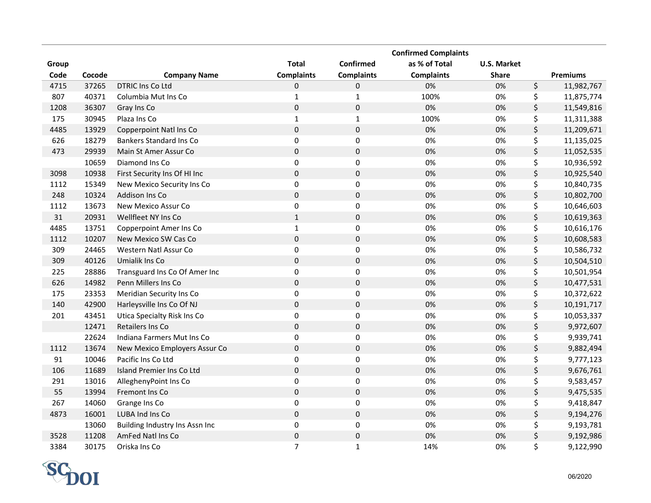|       |        |                                |                   |                     | <b>Confirmed Complaints</b> |                    |                  |
|-------|--------|--------------------------------|-------------------|---------------------|-----------------------------|--------------------|------------------|
| Group |        |                                | <b>Total</b>      | Confirmed           | as % of Total               | <b>U.S. Market</b> |                  |
| Code  | Cocode | <b>Company Name</b>            | <b>Complaints</b> | <b>Complaints</b>   | <b>Complaints</b>           | <b>Share</b>       | <b>Premiums</b>  |
| 4715  | 37265  | DTRIC Ins Co Ltd               | 0                 | 0                   | 0%                          | 0%                 | \$<br>11,982,767 |
| 807   | 40371  | Columbia Mut Ins Co            | $\mathbf{1}$      | $\mathbf{1}$        | 100%                        | 0%                 | \$<br>11,875,774 |
| 1208  | 36307  | Gray Ins Co                    | $\mathbf 0$       | $\mathsf{O}\xspace$ | 0%                          | 0%                 | \$<br>11,549,816 |
| 175   | 30945  | Plaza Ins Co                   | $\mathbf{1}$      | $\mathbf 1$         | 100%                        | 0%                 | \$<br>11,311,388 |
| 4485  | 13929  | Copperpoint Natl Ins Co        | $\mathbf 0$       | $\mathsf 0$         | 0%                          | 0%                 | \$<br>11,209,671 |
| 626   | 18279  | <b>Bankers Standard Ins Co</b> | $\pmb{0}$         | 0                   | 0%                          | 0%                 | \$<br>11,135,025 |
| 473   | 29939  | Main St Amer Assur Co          | $\pmb{0}$         | $\pmb{0}$           | 0%                          | 0%                 | \$<br>11,052,535 |
|       | 10659  | Diamond Ins Co                 | $\mathbf 0$       | 0                   | 0%                          | 0%                 | \$<br>10,936,592 |
| 3098  | 10938  | First Security Ins Of HI Inc   | $\mathbf 0$       | $\pmb{0}$           | 0%                          | 0%                 | \$<br>10,925,540 |
| 1112  | 15349  | New Mexico Security Ins Co     | $\pmb{0}$         | 0                   | 0%                          | 0%                 | \$<br>10,840,735 |
| 248   | 10324  | Addison Ins Co                 | $\pmb{0}$         | $\pmb{0}$           | 0%                          | 0%                 | \$<br>10,802,700 |
| 1112  | 13673  | New Mexico Assur Co            | $\pmb{0}$         | 0                   | 0%                          | 0%                 | \$<br>10,646,603 |
| 31    | 20931  | Wellfleet NY Ins Co            | $\mathbf{1}$      | $\mathbf 0$         | 0%                          | 0%                 | \$<br>10,619,363 |
| 4485  | 13751  | Copperpoint Amer Ins Co        | $\mathbf 1$       | $\mathsf 0$         | 0%                          | 0%                 | \$<br>10,616,176 |
| 1112  | 10207  | New Mexico SW Cas Co           | $\pmb{0}$         | $\pmb{0}$           | 0%                          | 0%                 | \$<br>10,608,583 |
| 309   | 24465  | Western Natl Assur Co          | $\pmb{0}$         | $\mathsf 0$         | 0%                          | 0%                 | \$<br>10,586,732 |
| 309   | 40126  | Umialik Ins Co                 | $\mathbf 0$       | $\mathbf 0$         | 0%                          | 0%                 | \$<br>10,504,510 |
| 225   | 28886  | Transguard Ins Co Of Amer Inc  | $\mathbf 0$       | 0                   | 0%                          | 0%                 | \$<br>10,501,954 |
| 626   | 14982  | Penn Millers Ins Co            | $\pmb{0}$         | $\pmb{0}$           | 0%                          | 0%                 | \$<br>10,477,531 |
| 175   | 23353  | Meridian Security Ins Co       | $\pmb{0}$         | $\mathbf 0$         | 0%                          | 0%                 | \$<br>10,372,622 |
| 140   | 42900  | Harleysville Ins Co Of NJ      | $\pmb{0}$         | $\pmb{0}$           | 0%                          | 0%                 | \$<br>10,191,717 |
| 201   | 43451  | Utica Specialty Risk Ins Co    | $\pmb{0}$         | 0                   | 0%                          | 0%                 | \$<br>10,053,337 |
|       | 12471  | Retailers Ins Co               | $\pmb{0}$         | $\mathbf 0$         | 0%                          | 0%                 | \$<br>9,972,607  |
|       | 22624  | Indiana Farmers Mut Ins Co     | $\pmb{0}$         | $\pmb{0}$           | 0%                          | 0%                 | \$<br>9,939,741  |
| 1112  | 13674  | New Mexico Employers Assur Co  | $\pmb{0}$         | $\pmb{0}$           | 0%                          | 0%                 | \$<br>9,882,494  |
| 91    | 10046  | Pacific Ins Co Ltd             | $\pmb{0}$         | $\mathbf 0$         | 0%                          | 0%                 | \$<br>9,777,123  |
| 106   | 11689  | Island Premier Ins Co Ltd      | $\pmb{0}$         | $\mathbf 0$         | 0%                          | 0%                 | \$<br>9,676,761  |
| 291   | 13016  | AlleghenyPoint Ins Co          | $\pmb{0}$         | $\mathsf 0$         | 0%                          | 0%                 | \$<br>9,583,457  |
| 55    | 13994  | Fremont Ins Co                 | $\pmb{0}$         | $\mathsf{O}\xspace$ | 0%                          | 0%                 | \$<br>9,475,535  |
| 267   | 14060  | Grange Ins Co                  | $\pmb{0}$         | 0                   | 0%                          | 0%                 | \$<br>9,418,847  |
| 4873  | 16001  | LUBA Ind Ins Co                | $\pmb{0}$         | $\mathsf{O}\xspace$ | 0%                          | 0%                 | \$<br>9,194,276  |
|       | 13060  | Building Industry Ins Assn Inc | $\pmb{0}$         | 0                   | 0%                          | 0%                 | \$<br>9,193,781  |
| 3528  | 11208  | AmFed Natl Ins Co              | $\mathsf 0$       | $\mathsf 0$         | 0%                          | 0%                 | \$<br>9,192,986  |
| 3384  | 30175  | Oriska Ins Co                  | $\overline{7}$    | $\mathbf{1}$        | 14%                         | 0%                 | \$<br>9,122,990  |

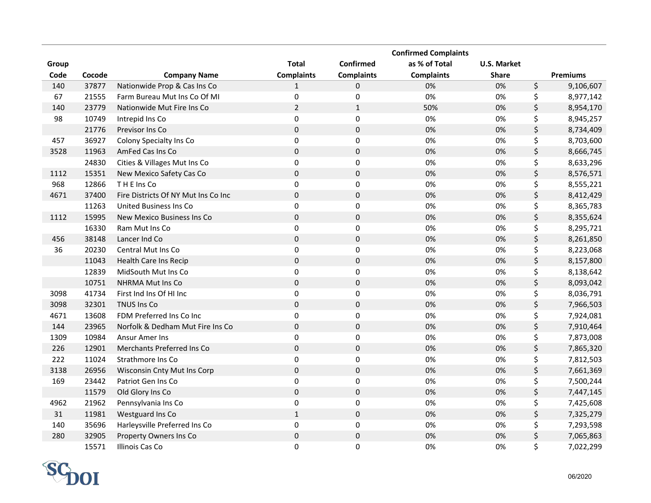|        |        |                                     |                   |                   | <b>Confirmed Complaints</b> |                    |                 |
|--------|--------|-------------------------------------|-------------------|-------------------|-----------------------------|--------------------|-----------------|
| Group  |        |                                     | <b>Total</b>      | Confirmed         | as % of Total               | <b>U.S. Market</b> |                 |
| Code   | Cocode | <b>Company Name</b>                 | <b>Complaints</b> | <b>Complaints</b> | <b>Complaints</b>           | <b>Share</b>       | <b>Premiums</b> |
| 140    | 37877  | Nationwide Prop & Cas Ins Co        | 1                 | 0                 | 0%                          | 0%                 | \$<br>9,106,607 |
| 67     | 21555  | Farm Bureau Mut Ins Co Of MI        | $\boldsymbol{0}$  | 0                 | 0%                          | 0%                 | \$<br>8,977,142 |
| 140    | 23779  | Nationwide Mut Fire Ins Co          | $\overline{2}$    | $\mathbf{1}$      | 50%                         | 0%                 | \$<br>8,954,170 |
| 98     | 10749  | Intrepid Ins Co                     | $\mathbf 0$       | 0                 | 0%                          | 0%                 | \$<br>8,945,257 |
|        | 21776  | Previsor Ins Co                     | $\mathbf 0$       | 0                 | 0%                          | 0%                 | \$<br>8,734,409 |
| 457    | 36927  | Colony Specialty Ins Co             | $\boldsymbol{0}$  | 0                 | 0%                          | 0%                 | \$<br>8,703,600 |
| 3528   | 11963  | AmFed Cas Ins Co                    | $\mathbf 0$       | $\pmb{0}$         | 0%                          | 0%                 | \$<br>8,666,745 |
|        | 24830  | Cities & Villages Mut Ins Co        | $\boldsymbol{0}$  | $\pmb{0}$         | 0%                          | 0%                 | \$<br>8,633,296 |
| 1112   | 15351  | New Mexico Safety Cas Co            | $\mathbf 0$       | 0                 | 0%                          | 0%                 | \$<br>8,576,571 |
| 968    | 12866  | THE Ins Co                          | $\boldsymbol{0}$  | $\pmb{0}$         | 0%                          | 0%                 | \$<br>8,555,221 |
| 4671   | 37400  | Fire Districts Of NY Mut Ins Co Inc | $\mathbf 0$       | $\pmb{0}$         | 0%                          | 0%                 | \$<br>8,412,429 |
|        | 11263  | United Business Ins Co              | $\boldsymbol{0}$  | $\pmb{0}$         | 0%                          | 0%                 | \$<br>8,365,783 |
| 1112   | 15995  | New Mexico Business Ins Co          | $\mathbf 0$       | $\pmb{0}$         | 0%                          | 0%                 | \$<br>8,355,624 |
|        | 16330  | Ram Mut Ins Co                      | $\pmb{0}$         | $\pmb{0}$         | 0%                          | 0%                 | \$<br>8,295,721 |
| 456    | 38148  | Lancer Ind Co                       | $\mathbf 0$       | $\pmb{0}$         | 0%                          | 0%                 | \$<br>8,261,850 |
| 36     | 20230  | <b>Central Mut Ins Co</b>           | $\mathbf 0$       | $\pmb{0}$         | 0%                          | 0%                 | \$<br>8,223,068 |
|        | 11043  | Health Care Ins Recip               | $\mathbf 0$       | $\pmb{0}$         | 0%                          | 0%                 | \$<br>8,157,800 |
|        | 12839  | MidSouth Mut Ins Co                 | $\pmb{0}$         | $\mathsf 0$       | 0%                          | 0%                 | \$<br>8,138,642 |
|        | 10751  | <b>NHRMA Mut Ins Co</b>             | $\mathbf 0$       | $\pmb{0}$         | 0%                          | 0%                 | \$<br>8,093,042 |
| 3098   | 41734  | First Ind Ins Of HI Inc             | $\mathbf 0$       | 0                 | 0%                          | 0%                 | \$<br>8,036,791 |
| 3098   | 32301  | TNUS Ins Co                         | $\mathbf 0$       | $\pmb{0}$         | 0%                          | 0%                 | \$<br>7,966,503 |
| 4671   | 13608  | FDM Preferred Ins Co Inc            | $\mathbf 0$       | 0                 | 0%                          | 0%                 | \$<br>7,924,081 |
| 144    | 23965  | Norfolk & Dedham Mut Fire Ins Co    | $\mathbf 0$       | $\mathsf 0$       | 0%                          | 0%                 | \$<br>7,910,464 |
| 1309   | 10984  | Ansur Amer Ins                      | $\pmb{0}$         | $\boldsymbol{0}$  | 0%                          | 0%                 | \$<br>7,873,008 |
| 226    | 12901  | Merchants Preferred Ins Co          | $\mathbf 0$       | $\pmb{0}$         | 0%                          | 0%                 | \$<br>7,865,320 |
| 222    | 11024  | Strathmore Ins Co                   | $\mathbf 0$       | 0                 | 0%                          | 0%                 | \$<br>7,812,503 |
| 3138   | 26956  | Wisconsin Cnty Mut Ins Corp         | $\pmb{0}$         | $\mathsf 0$       | 0%                          | 0%                 | \$<br>7,661,369 |
| 169    | 23442  | Patriot Gen Ins Co                  | $\pmb{0}$         | $\mathsf 0$       | 0%                          | 0%                 | \$<br>7,500,244 |
|        | 11579  | Old Glory Ins Co                    | $\pmb{0}$         | $\mathsf 0$       | 0%                          | 0%                 | \$<br>7,447,145 |
| 4962   | 21962  | Pennsylvania Ins Co                 | $\pmb{0}$         | 0                 | 0%                          | 0%                 | \$<br>7,425,608 |
| $31\,$ | 11981  | Westguard Ins Co                    | $1\,$             | $\mathsf 0$       | 0%                          | 0%                 | \$<br>7,325,279 |
| 140    | 35696  | Harleysville Preferred Ins Co       | $\pmb{0}$         | 0                 | 0%                          | 0%                 | \$<br>7,293,598 |
| 280    | 32905  | Property Owners Ins Co              | $\pmb{0}$         | $\mathsf 0$       | 0%                          | 0%                 | \$<br>7,065,863 |
|        | 15571  | Illinois Cas Co                     | 0                 | 0                 | 0%                          | 0%                 | \$<br>7,022,299 |

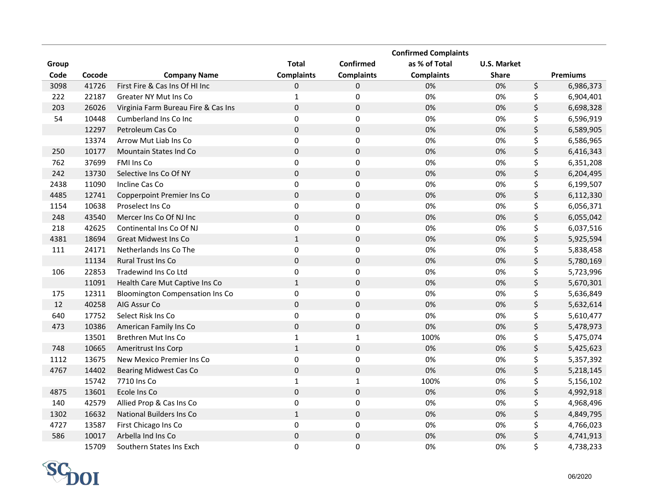|       |        |                                        |                   |                     | <b>Confirmed Complaints</b> |                    |                 |
|-------|--------|----------------------------------------|-------------------|---------------------|-----------------------------|--------------------|-----------------|
| Group |        |                                        | <b>Total</b>      | Confirmed           | as % of Total               | <b>U.S. Market</b> |                 |
| Code  | Cocode | <b>Company Name</b>                    | <b>Complaints</b> | <b>Complaints</b>   | <b>Complaints</b>           | <b>Share</b>       | <b>Premiums</b> |
| 3098  | 41726  | First Fire & Cas Ins Of HI Inc         | 0                 | 0                   | 0%                          | 0%                 | \$<br>6,986,373 |
| 222   | 22187  | Greater NY Mut Ins Co                  | $\mathbf{1}$      | 0                   | 0%                          | 0%                 | \$<br>6,904,401 |
| 203   | 26026  | Virginia Farm Bureau Fire & Cas Ins    | $\pmb{0}$         | $\pmb{0}$           | 0%                          | 0%                 | \$<br>6,698,328 |
| 54    | 10448  | Cumberland Ins Co Inc                  | $\pmb{0}$         | $\pmb{0}$           | 0%                          | 0%                 | \$<br>6,596,919 |
|       | 12297  | Petroleum Cas Co                       | $\mathbf 0$       | $\mathsf 0$         | 0%                          | 0%                 | \$<br>6,589,905 |
|       | 13374  | Arrow Mut Liab Ins Co                  | $\mathbf 0$       | 0                   | 0%                          | 0%                 | \$<br>6,586,965 |
| 250   | 10177  | Mountain States Ind Co                 | $\pmb{0}$         | $\pmb{0}$           | 0%                          | 0%                 | \$<br>6,416,343 |
| 762   | 37699  | FMI Ins Co                             | $\pmb{0}$         | 0                   | 0%                          | 0%                 | \$<br>6,351,208 |
| 242   | 13730  | Selective Ins Co Of NY                 | $\pmb{0}$         | $\pmb{0}$           | 0%                          | 0%                 | \$<br>6,204,495 |
| 2438  | 11090  | Incline Cas Co                         | $\mathbf 0$       | 0                   | 0%                          | 0%                 | \$<br>6,199,507 |
| 4485  | 12741  | Copperpoint Premier Ins Co             | $\mathbf 0$       | 0                   | 0%                          | 0%                 | \$<br>6,112,330 |
| 1154  | 10638  | Proselect Ins Co                       | $\pmb{0}$         | $\mathsf 0$         | 0%                          | 0%                 | \$<br>6,056,371 |
| 248   | 43540  | Mercer Ins Co Of NJ Inc                | $\pmb{0}$         | $\mathbf 0$         | 0%                          | 0%                 | \$<br>6,055,042 |
| 218   | 42625  | Continental Ins Co Of NJ               | $\pmb{0}$         | 0                   | 0%                          | 0%                 | \$<br>6,037,516 |
| 4381  | 18694  | <b>Great Midwest Ins Co</b>            | $\mathbf{1}$      | $\mathbf 0$         | 0%                          | 0%                 | \$<br>5,925,594 |
| 111   | 24171  | Netherlands Ins Co The                 | $\pmb{0}$         | 0                   | 0%                          | 0%                 | \$<br>5,838,458 |
|       | 11134  | <b>Rural Trust Ins Co</b>              | $\pmb{0}$         | $\mathbf 0$         | 0%                          | 0%                 | \$<br>5,780,169 |
| 106   | 22853  | Tradewind Ins Co Ltd                   | $\pmb{0}$         | 0                   | 0%                          | 0%                 | \$<br>5,723,996 |
|       | 11091  | Health Care Mut Captive Ins Co         | $\mathbf{1}$      | $\pmb{0}$           | 0%                          | 0%                 | \$<br>5,670,301 |
| 175   | 12311  | <b>Bloomington Compensation Ins Co</b> | $\pmb{0}$         | $\mathbf 0$         | 0%                          | 0%                 | \$<br>5,636,849 |
| 12    | 40258  | AIG Assur Co                           | $\mathbf 0$       | $\mathbf 0$         | 0%                          | 0%                 | \$<br>5,632,614 |
| 640   | 17752  | Select Risk Ins Co                     | $\pmb{0}$         | $\boldsymbol{0}$    | 0%                          | 0%                 | \$<br>5,610,477 |
| 473   | 10386  | American Family Ins Co                 | $\pmb{0}$         | $\pmb{0}$           | 0%                          | 0%                 | \$<br>5,478,973 |
|       | 13501  | Brethren Mut Ins Co                    | $\mathbf 1$       | $\mathbf 1$         | 100%                        | 0%                 | \$<br>5,475,074 |
| 748   | 10665  | <b>Ameritrust Ins Corp</b>             | $\mathbf 1$       | $\mathbf 0$         | 0%                          | 0%                 | \$<br>5,425,623 |
| 1112  | 13675  | New Mexico Premier Ins Co              | $\pmb{0}$         | 0                   | 0%                          | 0%                 | \$<br>5,357,392 |
| 4767  | 14402  | <b>Bearing Midwest Cas Co</b>          | $\pmb{0}$         | $\mathsf 0$         | 0%                          | 0%                 | \$<br>5,218,145 |
|       | 15742  | 7710 Ins Co                            | $\mathbf{1}$      | $\mathbf 1$         | 100%                        | 0%                 | \$<br>5,156,102 |
| 4875  | 13601  | Ecole Ins Co                           | $\mathbf 0$       | $\mathsf{O}\xspace$ | 0%                          | 0%                 | \$<br>4,992,918 |
| 140   | 42579  | Allied Prop & Cas Ins Co               | $\pmb{0}$         | 0                   | 0%                          | 0%                 | \$<br>4,968,496 |
| 1302  | 16632  | National Builders Ins Co               | $\mathbf 1$       | $\pmb{0}$           | 0%                          | 0%                 | \$<br>4,849,795 |
| 4727  | 13587  | First Chicago Ins Co                   | $\pmb{0}$         | $\pmb{0}$           | 0%                          | 0%                 | \$<br>4,766,023 |
| 586   | 10017  | Arbella Ind Ins Co                     | $\mathsf 0$       | $\mathsf 0$         | 0%                          | 0%                 | \$<br>4,741,913 |
|       | 15709  | Southern States Ins Exch               | $\Omega$          | 0                   | 0%                          | 0%                 | \$<br>4,738,233 |

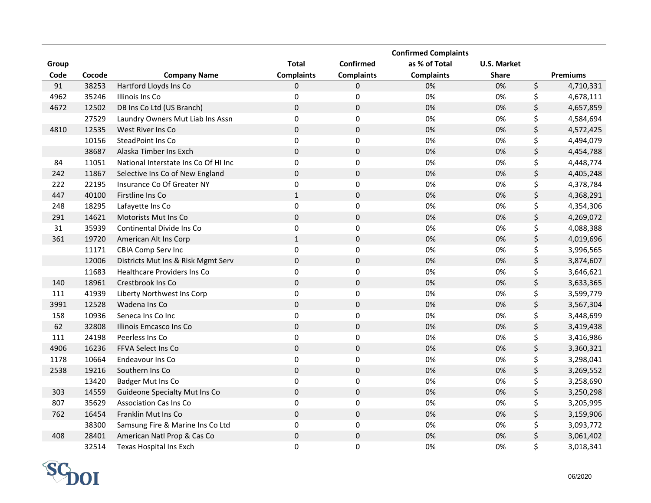|       |        |                                      |                   |                     | <b>Confirmed Complaints</b> |                    |                 |
|-------|--------|--------------------------------------|-------------------|---------------------|-----------------------------|--------------------|-----------------|
| Group |        |                                      | <b>Total</b>      | Confirmed           | as % of Total               | <b>U.S. Market</b> |                 |
| Code  | Cocode | <b>Company Name</b>                  | <b>Complaints</b> | <b>Complaints</b>   | <b>Complaints</b>           | <b>Share</b>       | <b>Premiums</b> |
| 91    | 38253  | Hartford Lloyds Ins Co               | 0                 | 0                   | 0%                          | 0%                 | \$<br>4,710,331 |
| 4962  | 35246  | Illinois Ins Co                      | $\pmb{0}$         | $\pmb{0}$           | 0%                          | 0%                 | \$<br>4,678,111 |
| 4672  | 12502  | DB Ins Co Ltd (US Branch)            | 0                 | $\pmb{0}$           | 0%                          | 0%                 | \$<br>4,657,859 |
|       | 27529  | Laundry Owners Mut Liab Ins Assn     | $\mathbf 0$       | 0                   | 0%                          | 0%                 | \$<br>4,584,694 |
| 4810  | 12535  | West River Ins Co                    | $\mathbf 0$       | $\mathbf 0$         | 0%                          | 0%                 | \$<br>4,572,425 |
|       | 10156  | SteadPoint Ins Co                    | $\pmb{0}$         | 0                   | 0%                          | 0%                 | \$<br>4,494,079 |
|       | 38687  | Alaska Timber Ins Exch               | $\pmb{0}$         | $\pmb{0}$           | 0%                          | 0%                 | \$<br>4,454,788 |
| 84    | 11051  | National Interstate Ins Co Of HI Inc | $\mathbf 0$       | $\pmb{0}$           | 0%                          | 0%                 | \$<br>4,448,774 |
| 242   | 11867  | Selective Ins Co of New England      | $\mathbf 0$       | $\mathbf 0$         | 0%                          | 0%                 | \$<br>4,405,248 |
| 222   | 22195  | Insurance Co Of Greater NY           | $\pmb{0}$         | 0                   | 0%                          | 0%                 | \$<br>4,378,784 |
| 447   | 40100  | Firstline Ins Co                     | $\mathbf{1}$      | $\pmb{0}$           | 0%                          | 0%                 | \$<br>4,368,291 |
| 248   | 18295  | Lafayette Ins Co                     | $\pmb{0}$         | $\pmb{0}$           | 0%                          | 0%                 | \$<br>4,354,306 |
| 291   | 14621  | Motorists Mut Ins Co                 | $\pmb{0}$         | $\mathbf 0$         | 0%                          | 0%                 | \$<br>4,269,072 |
| 31    | 35939  | Continental Divide Ins Co            | $\pmb{0}$         | $\pmb{0}$           | 0%                          | 0%                 | \$<br>4,088,388 |
| 361   | 19720  | American Alt Ins Corp                | $\mathbf{1}$      | $\pmb{0}$           | 0%                          | 0%                 | \$<br>4,019,696 |
|       | 11171  | CBIA Comp Serv Inc                   | $\pmb{0}$         | $\pmb{0}$           | 0%                          | 0%                 | \$<br>3,996,565 |
|       | 12006  | Districts Mut Ins & Risk Mgmt Serv   | $\mathbf 0$       | $\mathbf 0$         | 0%                          | 0%                 | \$<br>3,874,607 |
|       | 11683  | <b>Healthcare Providers Ins Co</b>   | 0                 | 0                   | 0%                          | 0%                 | \$<br>3,646,621 |
| 140   | 18961  | Crestbrook Ins Co                    | $\pmb{0}$         | $\pmb{0}$           | 0%                          | 0%                 | \$<br>3,633,365 |
| 111   | 41939  | Liberty Northwest Ins Corp           | $\pmb{0}$         | 0                   | 0%                          | 0%                 | \$<br>3,599,779 |
| 3991  | 12528  | Wadena Ins Co                        | $\pmb{0}$         | $\pmb{0}$           | 0%                          | 0%                 | \$<br>3,567,304 |
| 158   | 10936  | Seneca Ins Co Inc                    | $\mathbf 0$       | 0                   | 0%                          | 0%                 | \$<br>3,448,699 |
| 62    | 32808  | Illinois Emcasco Ins Co              | $\pmb{0}$         | $\mathbf 0$         | 0%                          | 0%                 | \$<br>3,419,438 |
| 111   | 24198  | Peerless Ins Co                      | $\pmb{0}$         | $\mathbf 0$         | 0%                          | 0%                 | \$<br>3,416,986 |
| 4906  | 16236  | FFVA Select Ins Co                   | $\pmb{0}$         | $\pmb{0}$           | 0%                          | 0%                 | \$<br>3,360,321 |
| 1178  | 10664  | Endeavour Ins Co                     | $\pmb{0}$         | $\mathbf 0$         | 0%                          | 0%                 | \$<br>3,298,041 |
| 2538  | 19216  | Southern Ins Co                      | $\pmb{0}$         | $\mathbf 0$         | 0%                          | 0%                 | \$<br>3,269,552 |
|       | 13420  | Badger Mut Ins Co                    | $\pmb{0}$         | $\mathsf 0$         | 0%                          | 0%                 | \$<br>3,258,690 |
| 303   | 14559  | Guideone Specialty Mut Ins Co        | $\pmb{0}$         | $\mathsf{O}\xspace$ | 0%                          | 0%                 | \$<br>3,250,298 |
| 807   | 35629  | <b>Association Cas Ins Co</b>        | $\pmb{0}$         | 0                   | 0%                          | 0%                 | \$<br>3,205,995 |
| 762   | 16454  | Franklin Mut Ins Co                  | $\pmb{0}$         | $\mathsf 0$         | 0%                          | $0\%$              | \$<br>3,159,906 |
|       | 38300  | Samsung Fire & Marine Ins Co Ltd     | $\pmb{0}$         | $\pmb{0}$           | 0%                          | 0%                 | \$<br>3,093,772 |
| 408   | 28401  | American Natl Prop & Cas Co          | $\mathsf 0$       | $\mathsf 0$         | 0%                          | 0%                 | \$<br>3,061,402 |
|       | 32514  | Texas Hospital Ins Exch              | $\Omega$          | 0                   | 0%                          | 0%                 | \$<br>3,018,341 |

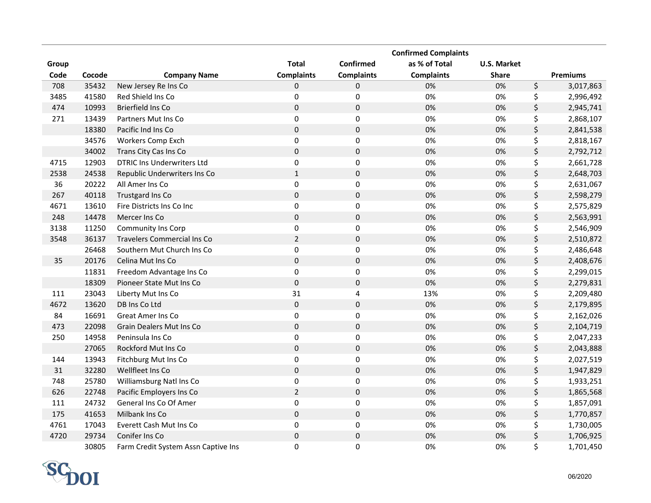|       |        |                                     |                   |                         | <b>Confirmed Complaints</b> |                    |                 |
|-------|--------|-------------------------------------|-------------------|-------------------------|-----------------------------|--------------------|-----------------|
| Group |        |                                     | <b>Total</b>      | Confirmed               | as % of Total               | <b>U.S. Market</b> |                 |
| Code  | Cocode | <b>Company Name</b>                 | <b>Complaints</b> | <b>Complaints</b>       | <b>Complaints</b>           | <b>Share</b>       | <b>Premiums</b> |
| 708   | 35432  | New Jersey Re Ins Co                | 0                 | 0                       | 0%                          | 0%                 | \$<br>3,017,863 |
| 3485  | 41580  | Red Shield Ins Co                   | $\pmb{0}$         | $\pmb{0}$               | 0%                          | 0%                 | \$<br>2,996,492 |
| 474   | 10993  | Brierfield Ins Co                   | $\mathsf 0$       | $\pmb{0}$               | 0%                          | 0%                 | \$<br>2,945,741 |
| 271   | 13439  | Partners Mut Ins Co                 | $\mathbf 0$       | $\pmb{0}$               | 0%                          | 0%                 | \$<br>2,868,107 |
|       | 18380  | Pacific Ind Ins Co                  | $\mathbf 0$       | $\mathsf 0$             | 0%                          | 0%                 | \$<br>2,841,538 |
|       | 34576  | Workers Comp Exch                   | $\pmb{0}$         | $\pmb{0}$               | 0%                          | 0%                 | \$<br>2,818,167 |
|       | 34002  | Trans City Cas Ins Co               | $\pmb{0}$         | $\pmb{0}$               | 0%                          | 0%                 | \$<br>2,792,712 |
| 4715  | 12903  | <b>DTRIC Ins Underwriters Ltd</b>   | $\pmb{0}$         | 0                       | 0%                          | 0%                 | \$<br>2,661,728 |
| 2538  | 24538  | Republic Underwriters Ins Co        | $\mathbf{1}$      | $\mathbf 0$             | 0%                          | 0%                 | \$<br>2,648,703 |
| 36    | 20222  | All Amer Ins Co                     | $\pmb{0}$         | $\pmb{0}$               | 0%                          | 0%                 | \$<br>2,631,067 |
| 267   | 40118  | Trustgard Ins Co                    | $\pmb{0}$         | $\pmb{0}$               | 0%                          | 0%                 | \$<br>2,598,279 |
| 4671  | 13610  | Fire Districts Ins Co Inc           | $\pmb{0}$         | $\pmb{0}$               | 0%                          | 0%                 | \$<br>2,575,829 |
| 248   | 14478  | Mercer Ins Co                       | $\pmb{0}$         | $\mathbf 0$             | 0%                          | 0%                 | \$<br>2,563,991 |
| 3138  | 11250  | Community Ins Corp                  | $\pmb{0}$         | $\pmb{0}$               | 0%                          | 0%                 | \$<br>2,546,909 |
| 3548  | 36137  | <b>Travelers Commercial Ins Co</b>  | $\overline{2}$    | $\mathbf 0$             | 0%                          | 0%                 | \$<br>2,510,872 |
|       | 26468  | Southern Mut Church Ins Co          | $\pmb{0}$         | $\pmb{0}$               | 0%                          | 0%                 | \$<br>2,486,648 |
| 35    | 20176  | Celina Mut Ins Co                   | $\pmb{0}$         | $\mathbf 0$             | 0%                          | 0%                 | \$<br>2,408,676 |
|       | 11831  | Freedom Advantage Ins Co            | $\pmb{0}$         | $\mathsf 0$             | 0%                          | 0%                 | \$<br>2,299,015 |
|       | 18309  | Pioneer State Mut Ins Co            | $\pmb{0}$         | $\pmb{0}$               | 0%                          | 0%                 | \$<br>2,279,831 |
| 111   | 23043  | Liberty Mut Ins Co                  | 31                | $\overline{\mathbf{4}}$ | 13%                         | 0%                 | \$<br>2,209,480 |
| 4672  | 13620  | DB Ins Co Ltd                       | $\pmb{0}$         | $\mathbf 0$             | 0%                          | 0%                 | \$<br>2,179,895 |
| 84    | 16691  | Great Amer Ins Co                   | $\pmb{0}$         | 0                       | 0%                          | 0%                 | \$<br>2,162,026 |
| 473   | 22098  | Grain Dealers Mut Ins Co            | $\pmb{0}$         | $\mathbf 0$             | 0%                          | 0%                 | \$<br>2,104,719 |
| 250   | 14958  | Peninsula Ins Co                    | $\pmb{0}$         | $\pmb{0}$               | 0%                          | 0%                 | \$<br>2,047,233 |
|       | 27065  | Rockford Mut Ins Co                 | $\pmb{0}$         | $\mathbf 0$             | 0%                          | 0%                 | \$<br>2,043,888 |
| 144   | 13943  | Fitchburg Mut Ins Co                | $\pmb{0}$         | $\pmb{0}$               | 0%                          | 0%                 | \$<br>2,027,519 |
| 31    | 32280  | Wellfleet Ins Co                    | $\pmb{0}$         | $\pmb{0}$               | 0%                          | 0%                 | \$<br>1,947,829 |
| 748   | 25780  | Williamsburg Natl Ins Co            | $\pmb{0}$         | $\pmb{0}$               | 0%                          | 0%                 | \$<br>1,933,251 |
| 626   | 22748  | Pacific Employers Ins Co            | $\overline{2}$    | $\pmb{0}$               | 0%                          | 0%                 | \$<br>1,865,568 |
| 111   | 24732  | General Ins Co Of Amer              | $\pmb{0}$         | $\pmb{0}$               | 0%                          | 0%                 | \$<br>1,857,091 |
| 175   | 41653  | Milbank Ins Co                      | $\pmb{0}$         | $\mathsf 0$             | 0%                          | 0%                 | \$<br>1,770,857 |
| 4761  | 17043  | Everett Cash Mut Ins Co             | $\pmb{0}$         | 0                       | 0%                          | 0%                 | \$<br>1,730,005 |
| 4720  | 29734  | Conifer Ins Co                      | $\mathbf 0$       | $\pmb{0}$               | 0%                          | 0%                 | \$<br>1,706,925 |
|       | 30805  | Farm Credit System Assn Captive Ins | 0                 | 0                       | 0%                          | 0%                 | \$<br>1,701,450 |

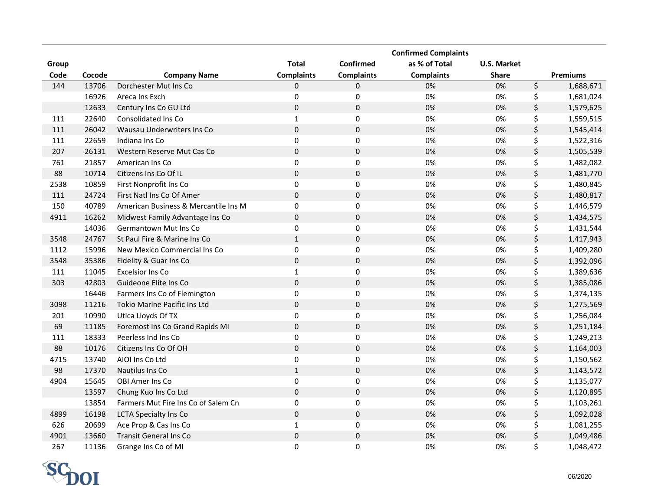|       |        |                                      |                   |                   | <b>Confirmed Complaints</b> |                    |                 |
|-------|--------|--------------------------------------|-------------------|-------------------|-----------------------------|--------------------|-----------------|
| Group |        |                                      | <b>Total</b>      | Confirmed         | as % of Total               | <b>U.S. Market</b> |                 |
| Code  | Cocode | <b>Company Name</b>                  | <b>Complaints</b> | <b>Complaints</b> | <b>Complaints</b>           | <b>Share</b>       | <b>Premiums</b> |
| 144   | 13706  | Dorchester Mut Ins Co                | 0                 | 0                 | 0%                          | 0%                 | \$<br>1,688,671 |
|       | 16926  | Areca Ins Exch                       | $\mathbf 0$       | 0                 | 0%                          | 0%                 | \$<br>1,681,024 |
|       | 12633  | Century Ins Co GU Ltd                | $\pmb{0}$         | $\pmb{0}$         | 0%                          | 0%                 | \$<br>1,579,625 |
| 111   | 22640  | Consolidated Ins Co                  | $\mathbf{1}$      | $\pmb{0}$         | 0%                          | 0%                 | \$<br>1,559,515 |
| 111   | 26042  | Wausau Underwriters Ins Co           | $\mathbf 0$       | $\mathsf 0$       | 0%                          | 0%                 | \$<br>1,545,414 |
| 111   | 22659  | Indiana Ins Co                       | $\mathbf 0$       | 0                 | 0%                          | 0%                 | \$<br>1,522,316 |
| 207   | 26131  | Western Reserve Mut Cas Co           | $\pmb{0}$         | $\pmb{0}$         | 0%                          | 0%                 | \$<br>1,505,539 |
| 761   | 21857  | American Ins Co                      | $\mathbf 0$       | 0                 | 0%                          | 0%                 | \$<br>1,482,082 |
| 88    | 10714  | Citizens Ins Co Of IL                | $\pmb{0}$         | $\pmb{0}$         | 0%                          | 0%                 | \$<br>1,481,770 |
| 2538  | 10859  | First Nonprofit Ins Co               | $\mathbf 0$       | 0                 | 0%                          | 0%                 | \$<br>1,480,845 |
| 111   | 24724  | First Natl Ins Co Of Amer            | $\mathbf 0$       | 0                 | 0%                          | 0%                 | \$<br>1,480,817 |
| 150   | 40789  | American Business & Mercantile Ins M | $\pmb{0}$         | 0                 | 0%                          | 0%                 | \$<br>1,446,579 |
| 4911  | 16262  | Midwest Family Advantage Ins Co      | $\pmb{0}$         | $\pmb{0}$         | 0%                          | 0%                 | \$<br>1,434,575 |
|       | 14036  | <b>Germantown Mut Ins Co</b>         | $\pmb{0}$         | 0                 | 0%                          | 0%                 | \$<br>1,431,544 |
| 3548  | 24767  | St Paul Fire & Marine Ins Co         | $\mathbf{1}$      | $\mathbf 0$       | 0%                          | 0%                 | \$<br>1,417,943 |
| 1112  | 15996  | New Mexico Commercial Ins Co         | $\mathbf 0$       | 0                 | 0%                          | 0%                 | \$<br>1,409,280 |
| 3548  | 35386  | Fidelity & Guar Ins Co               | $\pmb{0}$         | $\pmb{0}$         | 0%                          | 0%                 | \$<br>1,392,096 |
| 111   | 11045  | <b>Excelsior Ins Co</b>              | $\mathbf{1}$      | 0                 | 0%                          | 0%                 | \$<br>1,389,636 |
| 303   | 42803  | Guideone Elite Ins Co                | $\pmb{0}$         | $\mathbf 0$       | 0%                          | 0%                 | \$<br>1,385,086 |
|       | 16446  | Farmers Ins Co of Flemington         | $\pmb{0}$         | $\mathsf 0$       | 0%                          | 0%                 | \$<br>1,374,135 |
| 3098  | 11216  | <b>Tokio Marine Pacific Ins Ltd</b>  | $\mathbf 0$       | $\mathbf 0$       | 0%                          | 0%                 | \$<br>1,275,569 |
| 201   | 10990  | Utica Lloyds Of TX                   | $\pmb{0}$         | $\mathsf 0$       | 0%                          | 0%                 | \$<br>1,256,084 |
| 69    | 11185  | Foremost Ins Co Grand Rapids MI      | $\pmb{0}$         | $\pmb{0}$         | 0%                          | 0%                 | \$<br>1,251,184 |
| 111   | 18333  | Peerless Ind Ins Co                  | $\pmb{0}$         | $\mathbf 0$       | 0%                          | 0%                 | \$<br>1,249,213 |
| 88    | 10176  | Citizens Ins Co Of OH                | $\pmb{0}$         | $\mathbf 0$       | 0%                          | 0%                 | \$<br>1,164,003 |
| 4715  | 13740  | AIOI Ins Co Ltd                      | $\pmb{0}$         | 0                 | 0%                          | 0%                 | \$<br>1,150,562 |
| 98    | 17370  | Nautilus Ins Co                      | $\mathbf 1$       | $\mathbf 0$       | 0%                          | 0%                 | \$<br>1,143,572 |
| 4904  | 15645  | OBI Amer Ins Co                      | $\pmb{0}$         | $\mathsf 0$       | 0%                          | 0%                 | \$<br>1,135,077 |
|       | 13597  | Chung Kuo Ins Co Ltd                 | $\pmb{0}$         | $\pmb{0}$         | 0%                          | 0%                 | \$<br>1,120,895 |
|       | 13854  | Farmers Mut Fire Ins Co of Salem Cn  | $\pmb{0}$         | $\pmb{0}$         | 0%                          | 0%                 | \$<br>1,103,261 |
| 4899  | 16198  | <b>LCTA Specialty Ins Co</b>         | $\pmb{0}$         | $\pmb{0}$         | 0%                          | 0%                 | \$<br>1,092,028 |
| 626   | 20699  | Ace Prop & Cas Ins Co                | $1\,$             | 0                 | 0%                          | 0%                 | \$<br>1,081,255 |
| 4901  | 13660  | <b>Transit General Ins Co</b>        | $\pmb{0}$         | $\pmb{0}$         | 0%                          | 0%                 | \$<br>1,049,486 |
| 267   | 11136  | Grange Ins Co of MI                  | $\Omega$          | 0                 | 0%                          | 0%                 | \$<br>1,048,472 |

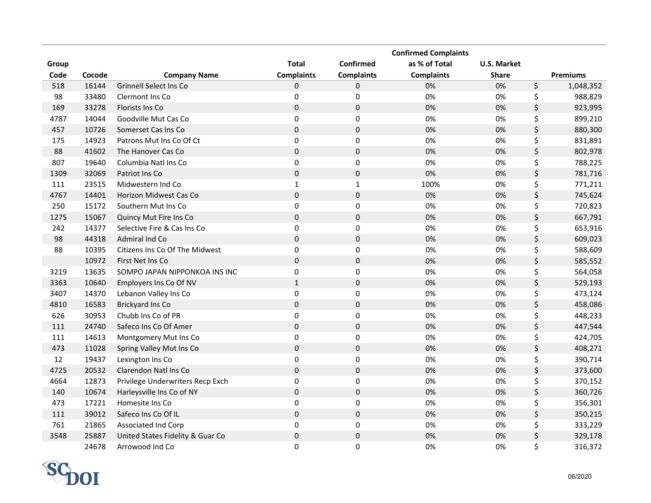|       |        |                                  |                   |                   | <b>Confirmed Complaints</b> |                    |                 |
|-------|--------|----------------------------------|-------------------|-------------------|-----------------------------|--------------------|-----------------|
| Group |        |                                  | <b>Total</b>      | Confirmed         | as % of Total               | <b>U.S. Market</b> |                 |
| Code  | Cocode | <b>Company Name</b>              | <b>Complaints</b> | <b>Complaints</b> | <b>Complaints</b>           | <b>Share</b>       | <b>Premiums</b> |
| 518   | 16144  | <b>Grinnell Select Ins Co</b>    | 0                 | 0                 | 0%                          | 0%                 | \$<br>1,048,352 |
| 98    | 33480  | <b>Clermont Ins Co</b>           | 0                 | $\pmb{0}$         | 0%                          | 0%                 | \$<br>988,829   |
| 169   | 33278  | <b>Florists Ins Co</b>           | $\mathbf 0$       | $\pmb{0}$         | 0%                          | 0%                 | \$<br>923,995   |
| 4787  | 14044  | Goodville Mut Cas Co             | 0                 | 0                 | 0%                          | 0%                 | \$<br>899,210   |
| 457   | 10726  | Somerset Cas Ins Co              | $\mathbf 0$       | 0                 | 0%                          | 0%                 | \$<br>880,300   |
| 175   | 14923  | Patrons Mut Ins Co Of Ct         | $\pmb{0}$         | $\pmb{0}$         | 0%                          | 0%                 | \$<br>831,891   |
| 88    | 41602  | The Hanover Cas Co               | $\pmb{0}$         | 0                 | 0%                          | 0%                 | \$<br>802,978   |
| 807   | 19640  | Columbia Natl Ins Co             | $\mathbf 0$       | 0                 | 0%                          | 0%                 | \$<br>788,225   |
| 1309  | 32069  | Patriot Ins Co                   | $\pmb{0}$         | $\mathbf 0$       | 0%                          | 0%                 | \$<br>781,716   |
| 111   | 23515  | Midwestern Ind Co                | $\mathbf{1}$      | $\mathbf{1}$      | 100%                        | 0%                 | \$<br>771,211   |
| 4767  | 14401  | Horizon Midwest Cas Co           | $\pmb{0}$         | $\pmb{0}$         | 0%                          | 0%                 | \$<br>745,624   |
| 250   | 15172  | Southern Mut Ins Co              | $\pmb{0}$         | 0                 | 0%                          | 0%                 | \$<br>720,823   |
| 1275  | 15067  | Quincy Mut Fire Ins Co           | $\mathbf 0$       | $\pmb{0}$         | 0%                          | 0%                 | \$<br>667,791   |
| 242   | 14377  | Selective Fire & Cas Ins Co      | $\pmb{0}$         | 0                 | 0%                          | 0%                 | \$<br>653,916   |
| 98    | 44318  | Admiral Ind Co                   | $\mathbf 0$       | 0                 | 0%                          | 0%                 | \$<br>609,023   |
| 88    | 10395  | Citizens Ins Co Of The Midwest   | $\pmb{0}$         | 0                 | 0%                          | 0%                 | \$<br>588,609   |
|       | 10972  | First Net Ins Co                 | $\mathbf 0$       | $\pmb{0}$         | 0%                          | 0%                 | \$<br>585,552   |
| 3219  | 13635  | SOMPO JAPAN NIPPONKOA INS INC    | $\mathbf 0$       | $\mathbf 0$       | 0%                          | 0%                 | \$<br>564,058   |
| 3363  | 10640  | Employers Ins Co Of NV           | $1\,$             | $\pmb{0}$         | 0%                          | 0%                 | \$<br>529,193   |
| 3407  | 14370  | Lebanon Valley Ins Co            | $\pmb{0}$         | $\mathbf 0$       | 0%                          | 0%                 | \$<br>473,124   |
| 4810  | 16583  | Brickyard Ins Co                 | $\pmb{0}$         | $\pmb{0}$         | 0%                          | 0%                 | \$<br>458,086   |
| 626   | 30953  | Chubb Ins Co of PR               | $\pmb{0}$         | $\mathbf 0$       | 0%                          | 0%                 | \$<br>448,233   |
| 111   | 24740  | Safeco Ins Co Of Amer            | $\pmb{0}$         | $\pmb{0}$         | 0%                          | 0%                 | \$<br>447,544   |
| 111   | 14613  | Montgomery Mut Ins Co            | $\pmb{0}$         | $\mathbf 0$       | 0%                          | 0%                 | \$<br>424,705   |
| 473   | 11028  | Spring Valley Mut Ins Co         | $\pmb{0}$         | $\pmb{0}$         | 0%                          | 0%                 | \$<br>408,271   |
| 12    | 19437  | Lexington Ins Co                 | $\pmb{0}$         | $\mathbf 0$       | 0%                          | 0%                 | \$<br>390,714   |
| 4725  | 20532  | Clarendon Natl Ins Co            | $\mathbf 0$       | $\pmb{0}$         | 0%                          | 0%                 | \$<br>373,600   |
| 4664  | 12873  | Privilege Underwriters Recp Exch | $\pmb{0}$         | 0                 | 0%                          | 0%                 | \$<br>370,152   |
| 140   | 10674  | Harleysville Ins Co of NY        | $\mathbf 0$       | $\mathsf 0$       | 0%                          | 0%                 | \$<br>360,726   |
| 473   | 17221  | Homesite Ins Co                  | $\pmb{0}$         | $\pmb{0}$         | 0%                          | 0%                 | \$<br>356,301   |
| 111   | 39012  | Safeco Ins Co Of IL              | $\mathbf 0$       | $\mathsf 0$       | 0%                          | 0%                 | \$<br>350,215   |
| 761   | 21865  | Associated Ind Corp              | 0                 | $\pmb{0}$         | 0%                          | 0%                 | \$<br>333,229   |
| 3548  | 25887  | United States Fidelity & Guar Co | $\pmb{0}$         | $\pmb{0}$         | 0%                          | 0%                 | \$<br>329,178   |
|       | 24678  | Arrowood Ind Co                  | $\Omega$          | 0                 | 0%                          | 0%                 | \$<br>316,372   |

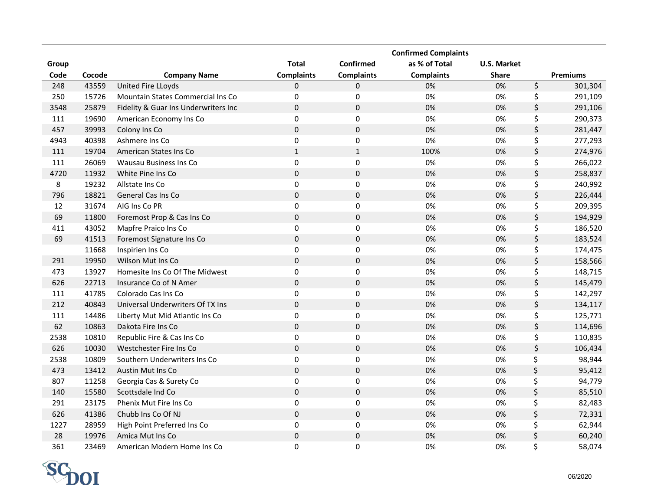|       |        |                                      |                   |                   | <b>Confirmed Complaints</b> |                    |                 |
|-------|--------|--------------------------------------|-------------------|-------------------|-----------------------------|--------------------|-----------------|
| Group |        |                                      | <b>Total</b>      | Confirmed         | as % of Total               | <b>U.S. Market</b> |                 |
| Code  | Cocode | <b>Company Name</b>                  | <b>Complaints</b> | <b>Complaints</b> | <b>Complaints</b>           | <b>Share</b>       | <b>Premiums</b> |
| 248   | 43559  | United Fire LLoyds                   | 0                 | 0                 | 0%                          | 0%                 | \$<br>301,304   |
| 250   | 15726  | Mountain States Commercial Ins Co    | $\mathbf 0$       | 0                 | 0%                          | 0%                 | \$<br>291,109   |
| 3548  | 25879  | Fidelity & Guar Ins Underwriters Inc | $\mathbf 0$       | $\pmb{0}$         | 0%                          | 0%                 | \$<br>291,106   |
| 111   | 19690  | American Economy Ins Co              | $\mathbf 0$       | $\pmb{0}$         | 0%                          | 0%                 | \$<br>290,373   |
| 457   | 39993  | Colony Ins Co                        | $\mathbf 0$       | $\mathbf 0$       | 0%                          | 0%                 | \$<br>281,447   |
| 4943  | 40398  | Ashmere Ins Co                       | $\mathbf 0$       | 0                 | 0%                          | 0%                 | \$<br>277,293   |
| 111   | 19704  | American States Ins Co               | $\mathbf 1$       | $1\,$             | 100%                        | 0%                 | \$<br>274,976   |
| 111   | 26069  | Wausau Business Ins Co               | 0                 | 0                 | 0%                          | 0%                 | \$<br>266,022   |
| 4720  | 11932  | White Pine Ins Co                    | $\pmb{0}$         | $\pmb{0}$         | 0%                          | 0%                 | \$<br>258,837   |
| 8     | 19232  | Allstate Ins Co                      | $\pmb{0}$         | 0                 | 0%                          | 0%                 | \$<br>240,992   |
| 796   | 18821  | General Cas Ins Co                   | $\mathbf 0$       | 0                 | 0%                          | 0%                 | \$<br>226,444   |
| 12    | 31674  | AIG Ins Co PR                        | $\pmb{0}$         | 0                 | 0%                          | 0%                 | \$<br>209,395   |
| 69    | 11800  | Foremost Prop & Cas Ins Co           | $\pmb{0}$         | $\pmb{0}$         | 0%                          | 0%                 | \$<br>194,929   |
| 411   | 43052  | Mapfre Praico Ins Co                 | $\pmb{0}$         | $\pmb{0}$         | 0%                          | 0%                 | \$<br>186,520   |
| 69    | 41513  | Foremost Signature Ins Co            | $\boldsymbol{0}$  | $\pmb{0}$         | 0%                          | 0%                 | \$<br>183,524   |
|       | 11668  | Inspirien Ins Co                     | 0                 | 0                 | 0%                          | 0%                 | \$<br>174,475   |
| 291   | 19950  | Wilson Mut Ins Co                    | $\pmb{0}$         | $\mathbf 0$       | 0%                          | 0%                 | \$<br>158,566   |
| 473   | 13927  | Homesite Ins Co Of The Midwest       | $\pmb{0}$         | $\mathbf 0$       | 0%                          | 0%                 | \$<br>148,715   |
| 626   | 22713  | Insurance Co of N Amer               | $\pmb{0}$         | $\pmb{0}$         | 0%                          | 0%                 | \$<br>145,479   |
| 111   | 41785  | Colorado Cas Ins Co                  | $\pmb{0}$         | $\mathbf 0$       | 0%                          | 0%                 | \$<br>142,297   |
| 212   | 40843  | Universal Underwriters Of TX Ins     | $\mathbf 0$       | $\mathbf 0$       | 0%                          | 0%                 | \$<br>134,117   |
| 111   | 14486  | Liberty Mut Mid Atlantic Ins Co      | $\pmb{0}$         | 0                 | 0%                          | 0%                 | \$<br>125,771   |
| 62    | 10863  | Dakota Fire Ins Co                   | $\pmb{0}$         | $\pmb{0}$         | 0%                          | 0%                 | \$<br>114,696   |
| 2538  | 10810  | Republic Fire & Cas Ins Co           | $\pmb{0}$         | $\pmb{0}$         | 0%                          | 0%                 | \$<br>110,835   |
| 626   | 10030  | Westchester Fire Ins Co              | $\pmb{0}$         | $\pmb{0}$         | 0%                          | 0%                 | \$<br>106,434   |
| 2538  | 10809  | Southern Underwriters Ins Co         | $\pmb{0}$         | 0                 | 0%                          | 0%                 | \$<br>98,944    |
| 473   | 13412  | <b>Austin Mut Ins Co</b>             | $\pmb{0}$         | $\pmb{0}$         | 0%                          | 0%                 | \$<br>95,412    |
| 807   | 11258  | Georgia Cas & Surety Co              | $\pmb{0}$         | $\pmb{0}$         | 0%                          | 0%                 | \$<br>94,779    |
| 140   | 15580  | Scottsdale Ind Co                    | $\mathsf 0$       | $\mathbf 0$       | 0%                          | 0%                 | \$<br>85,510    |
| 291   | 23175  | Phenix Mut Fire Ins Co               | $\pmb{0}$         | 0                 | 0%                          | 0%                 | \$<br>82,483    |
| 626   | 41386  | Chubb Ins Co Of NJ                   | $\pmb{0}$         | $\pmb{0}$         | 0%                          | 0%                 | \$<br>72,331    |
| 1227  | 28959  | High Point Preferred Ins Co          | $\pmb{0}$         | 0                 | 0%                          | 0%                 | \$<br>62,944    |
| 28    | 19976  | Amica Mut Ins Co                     | $\pmb{0}$         | $\pmb{0}$         | 0%                          | 0%                 | \$<br>60,240    |
| 361   | 23469  | American Modern Home Ins Co          | $\mathbf{0}$      | 0                 | 0%                          | 0%                 | \$<br>58,074    |

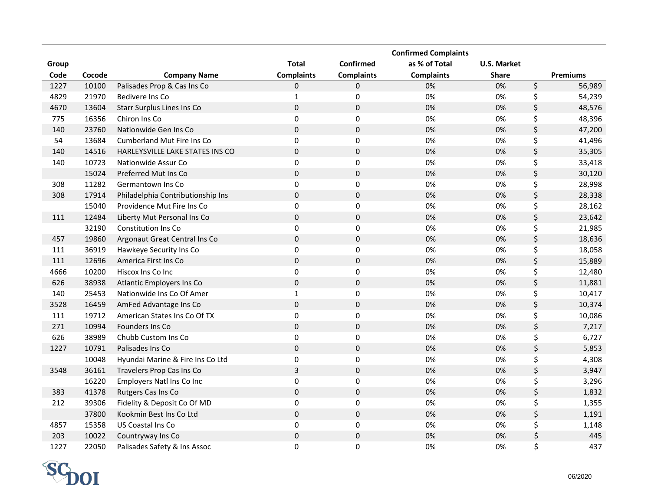|       |        |                                   |                     |                   | <b>Confirmed Complaints</b> |                    |                 |
|-------|--------|-----------------------------------|---------------------|-------------------|-----------------------------|--------------------|-----------------|
| Group |        |                                   | <b>Total</b>        | Confirmed         | as % of Total               | <b>U.S. Market</b> |                 |
| Code  | Cocode | <b>Company Name</b>               | <b>Complaints</b>   | <b>Complaints</b> | <b>Complaints</b>           | <b>Share</b>       | <b>Premiums</b> |
| 1227  | 10100  | Palisades Prop & Cas Ins Co       | 0                   | 0                 | 0%                          | 0%                 | \$<br>56,989    |
| 4829  | 21970  | <b>Bedivere Ins Co</b>            | $\mathbf{1}$        | 0                 | 0%                          | 0%                 | \$<br>54,239    |
| 4670  | 13604  | Starr Surplus Lines Ins Co        | $\pmb{0}$           | 0                 | 0%                          | 0%                 | \$<br>48,576    |
| 775   | 16356  | Chiron Ins Co                     | $\pmb{0}$           | $\pmb{0}$         | 0%                          | 0%                 | \$<br>48,396    |
| 140   | 23760  | Nationwide Gen Ins Co             | $\mathbf 0$         | $\pmb{0}$         | 0%                          | 0%                 | \$<br>47,200    |
| 54    | 13684  | <b>Cumberland Mut Fire Ins Co</b> | 0                   | 0                 | 0%                          | 0%                 | \$<br>41,496    |
| 140   | 14516  | HARLEYSVILLE LAKE STATES INS CO   | $\pmb{0}$           | $\pmb{0}$         | 0%                          | 0%                 | \$<br>35,305    |
| 140   | 10723  | Nationwide Assur Co               | 0                   | 0                 | 0%                          | 0%                 | \$<br>33,418    |
|       | 15024  | Preferred Mut Ins Co              | $\mathsf{O}\xspace$ | $\pmb{0}$         | 0%                          | 0%                 | \$<br>30,120    |
| 308   | 11282  | Germantown Ins Co                 | 0                   | 0                 | 0%                          | 0%                 | \$<br>28,998    |
| 308   | 17914  | Philadelphia Contributionship Ins | $\mathbf 0$         | 0                 | 0%                          | 0%                 | \$<br>28,338    |
|       | 15040  | Providence Mut Fire Ins Co        | 0                   | 0                 | 0%                          | 0%                 | \$<br>28,162    |
| 111   | 12484  | Liberty Mut Personal Ins Co       | $\pmb{0}$           | $\pmb{0}$         | 0%                          | 0%                 | \$<br>23,642    |
|       | 32190  | <b>Constitution Ins Co</b>        | 0                   | 0                 | 0%                          | 0%                 | \$<br>21,985    |
| 457   | 19860  | Argonaut Great Central Ins Co     | $\boldsymbol{0}$    | $\pmb{0}$         | 0%                          | 0%                 | \$<br>18,636    |
| 111   | 36919  | Hawkeye Security Ins Co           | $\pmb{0}$           | $\pmb{0}$         | 0%                          | 0%                 | \$<br>18,058    |
| 111   | 12696  | America First Ins Co              | $\boldsymbol{0}$    | $\pmb{0}$         | 0%                          | 0%                 | \$<br>15,889    |
| 4666  | 10200  | Hiscox Ins Co Inc                 | $\pmb{0}$           | 0                 | 0%                          | 0%                 | \$<br>12,480    |
| 626   | 38938  | Atlantic Employers Ins Co         | $\pmb{0}$           | $\pmb{0}$         | 0%                          | 0%                 | \$<br>11,881    |
| 140   | 25453  | Nationwide Ins Co Of Amer         | $\mathbf 1$         | $\mathsf 0$       | 0%                          | 0%                 | \$<br>10,417    |
| 3528  | 16459  | AmFed Advantage Ins Co            | $\mathbf 0$         | $\mathbf 0$       | 0%                          | 0%                 | \$<br>10,374    |
| 111   | 19712  | American States Ins Co Of TX      | $\pmb{0}$           | $\pmb{0}$         | 0%                          | 0%                 | \$<br>10,086    |
| 271   | 10994  | Founders Ins Co                   | $\pmb{0}$           | $\mathbf 0$       | 0%                          | 0%                 | \$<br>7,217     |
| 626   | 38989  | Chubb Custom Ins Co               | $\pmb{0}$           | $\pmb{0}$         | 0%                          | 0%                 | \$<br>6,727     |
| 1227  | 10791  | Palisades Ins Co                  | $\mathbf 0$         | $\pmb{0}$         | 0%                          | 0%                 | \$<br>5,853     |
|       | 10048  | Hyundai Marine & Fire Ins Co Ltd  | $\pmb{0}$           | 0                 | 0%                          | 0%                 | \$<br>4,308     |
| 3548  | 36161  | Travelers Prop Cas Ins Co         | 3                   | $\pmb{0}$         | 0%                          | 0%                 | \$<br>3,947     |
|       | 16220  | Employers Natl Ins Co Inc         | $\pmb{0}$           | $\pmb{0}$         | 0%                          | 0%                 | \$<br>3,296     |
| 383   | 41378  | Rutgers Cas Ins Co                | $\boldsymbol{0}$    | $\mathbf 0$       | 0%                          | 0%                 | \$<br>1,832     |
| 212   | 39306  | Fidelity & Deposit Co Of MD       | $\pmb{0}$           | 0                 | 0%                          | 0%                 | \$<br>1,355     |
|       | 37800  | Kookmin Best Ins Co Ltd           | $\pmb{0}$           | $\pmb{0}$         | 0%                          | 0%                 | \$<br>1,191     |
| 4857  | 15358  | US Coastal Ins Co                 | $\pmb{0}$           | 0                 | 0%                          | 0%                 | \$<br>1,148     |
| 203   | 10022  | Countryway Ins Co                 | $\mathsf{O}\xspace$ | $\pmb{0}$         | 0%                          | 0%                 | \$<br>445       |
| 1227  | 22050  | Palisades Safety & Ins Assoc      | $\Omega$            | 0                 | 0%                          | 0%                 | \$<br>437       |